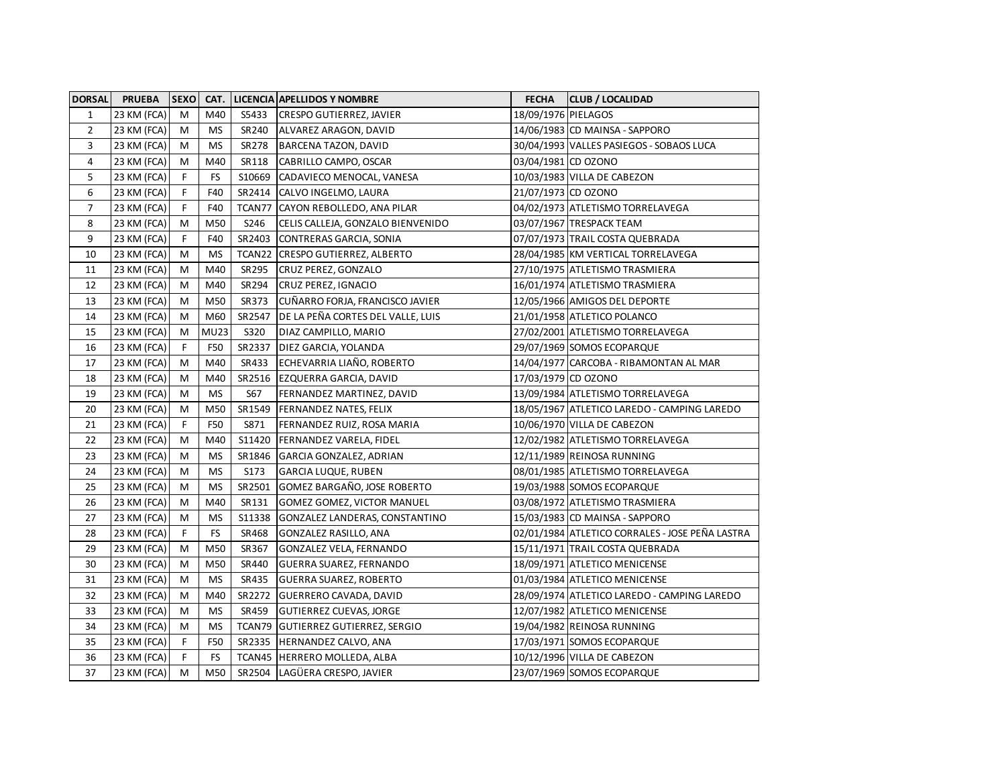| <b>DORSAL</b>  | <b>PRUEBA</b> | <b>SEXO</b> |             |        | <b>CAT. LICENCIA APELLIDOS Y NOMBRE</b> | <b>FECHA</b>        | <b>CLUB / LOCALIDAD</b>                         |
|----------------|---------------|-------------|-------------|--------|-----------------------------------------|---------------------|-------------------------------------------------|
| $\mathbf{1}$   | 23 KM (FCA)   | M           | M40         | S5433  | <b>CRESPO GUTIERREZ, JAVIER</b>         | 18/09/1976 PIELAGOS |                                                 |
| $\overline{2}$ | 23 KM (FCA)   | M           | <b>MS</b>   | SR240  | ALVAREZ ARAGON, DAVID                   |                     | 14/06/1983 CD MAINSA - SAPPORO                  |
| 3              | 23 KM (FCA)   | М           | <b>MS</b>   | SR278  | BARCENA TAZON, DAVID                    |                     | 30/04/1993 VALLES PASIEGOS - SOBAOS LUCA        |
| 4              | 23 KM (FCA)   | М           | M40         | SR118  | CABRILLO CAMPO, OSCAR                   | 03/04/1981 CD OZONO |                                                 |
| 5              | 23 KM (FCA)   | F           | <b>FS</b>   | S10669 | CADAVIECO MENOCAL, VANESA               |                     | 10/03/1983 VILLA DE CABEZON                     |
| 6              | 23 KM (FCA)   | F           | F40         | SR2414 | CALVO INGELMO, LAURA                    | 21/07/1973 CD OZONO |                                                 |
| $\overline{7}$ | 23 KM (FCA)   | F           | F40         | TCAN77 | CAYON REBOLLEDO, ANA PILAR              |                     | 04/02/1973 ATLETISMO TORRELAVEGA                |
| 8              | 23 KM (FCA)   | M           | M50         | S246   | CELIS CALLEJA, GONZALO BIENVENIDO       |                     | 03/07/1967 TRESPACK TEAM                        |
| 9              | 23 KM (FCA)   | F           | F40         | SR2403 | CONTRERAS GARCIA, SONIA                 |                     | 07/07/1973 TRAIL COSTA QUEBRADA                 |
| 10             | 23 KM (FCA)   | M           | <b>MS</b>   | TCAN22 | <b>CRESPO GUTIERREZ, ALBERTO</b>        |                     | 28/04/1985 KM VERTICAL TORRELAVEGA              |
| 11             | 23 KM (FCA)   | M           | M40         | SR 295 | CRUZ PEREZ, GONZALO                     |                     | 27/10/1975 ATLETISMO TRASMIERA                  |
| 12             | 23 KM (FCA)   | M           | M40         | SR294  | CRUZ PEREZ, IGNACIO                     |                     | 16/01/1974 ATLETISMO TRASMIERA                  |
| 13             | 23 KM (FCA)   | М           | M50         | SR373  | CUÑARRO FORJA, FRANCISCO JAVIER         |                     | 12/05/1966 AMIGOS DEL DEPORTE                   |
| 14             | 23 KM (FCA)   | М           | M60         | SR2547 | DE LA PEÑA CORTES DEL VALLE, LUIS       |                     | 21/01/1958 ATLETICO POLANCO                     |
| 15             | 23 KM (FCA)   | М           | <b>MU23</b> | S320   | DIAZ CAMPILLO, MARIO                    |                     | 27/02/2001 ATLETISMO TORRELAVEGA                |
| 16             | 23 KM (FCA)   | F           | F50         | SR2337 | DIEZ GARCIA, YOLANDA                    |                     | 29/07/1969 SOMOS ECOPARQUE                      |
| 17             | 23 KM (FCA)   | M           | M40         | SR433  | ECHEVARRIA LIAÑO, ROBERTO               |                     | 14/04/1977 CARCOBA - RIBAMONTAN AL MAR          |
| 18             | 23 KM (FCA)   | M           | M40         | SR2516 | <b>EZQUERRA GARCIA, DAVID</b>           | 17/03/1979 CD OZONO |                                                 |
| 19             | 23 KM (FCA)   | M           | <b>MS</b>   | S67    | FERNANDEZ MARTINEZ, DAVID               |                     | 13/09/1984 ATLETISMO TORRELAVEGA                |
| 20             | 23 KM (FCA)   | M           | M50         | SR1549 | <b>FERNANDEZ NATES, FELIX</b>           |                     | 18/05/1967 ATLETICO LAREDO - CAMPING LAREDO     |
| 21             | 23 KM (FCA)   | F           | F50         | S871   | FERNANDEZ RUIZ, ROSA MARIA              |                     | 10/06/1970 VILLA DE CABEZON                     |
| 22             | 23 KM (FCA)   | M           | M40         | S11420 | FERNANDEZ VARELA, FIDEL                 |                     | 12/02/1982 ATLETISMO TORRELAVEGA                |
| 23             | 23 KM (FCA)   | М           | <b>MS</b>   | SR1846 | GARCIA GONZALEZ, ADRIAN                 |                     | 12/11/1989 REINOSA RUNNING                      |
| 24             | 23 KM (FCA)   | М           | <b>MS</b>   | S173   | <b>GARCIA LUQUE, RUBEN</b>              |                     | 08/01/1985 ATLETISMO TORRELAVEGA                |
| 25             | 23 KM (FCA)   | М           | MS          | SR2501 | GOMEZ BARGAÑO, JOSE ROBERTO             |                     | 19/03/1988 SOMOS ECOPARQUE                      |
| 26             | 23 KM (FCA)   | M           | M40         | SR131  | GOMEZ GOMEZ, VICTOR MANUEL              |                     | 03/08/1972 ATLETISMO TRASMIERA                  |
| 27             | 23 KM (FCA)   | М           | ΜS          | S11338 | GONZALEZ LANDERAS, CONSTANTINO          |                     | 15/03/1983 CD MAINSA - SAPPORO                  |
| 28             | 23 KM (FCA)   | F           | <b>FS</b>   | SR468  | GONZALEZ RASILLO, ANA                   |                     | 02/01/1984 ATLETICO CORRALES - JOSE PEÑA LASTRA |
| 29             | 23 KM (FCA)   | М           | M50         | SR367  | GONZALEZ VELA, FERNANDO                 |                     | 15/11/1971 TRAIL COSTA QUEBRADA                 |
| 30             | 23 KM (FCA)   | M           | M50         | SR440  | GUERRA SUAREZ, FERNANDO                 |                     | 18/09/1971 ATLETICO MENICENSE                   |
| 31             | 23 KM (FCA)   | M           | <b>MS</b>   | SR435  | <b>GUERRA SUAREZ, ROBERTO</b>           |                     | 01/03/1984 ATLETICO MENICENSE                   |
| 32             | 23 KM (FCA)   | M           | M40         | SR2272 | <b>GUERRERO CAVADA, DAVID</b>           |                     | 28/09/1974 ATLETICO LAREDO - CAMPING LAREDO     |
| 33             | 23 KM (FCA)   | M           | <b>MS</b>   | SR459  | GUTIERREZ CUEVAS, JORGE                 |                     | 12/07/1982 ATLETICO MENICENSE                   |
| 34             | 23 KM (FCA)   | M           | <b>MS</b>   | TCAN79 | GUTIERREZ GUTIERREZ, SERGIO             |                     | 19/04/1982 REINOSA RUNNING                      |
| 35             | 23 KM (FCA)   | F           | F50         | SR2335 | HERNANDEZ CALVO, ANA                    |                     | 17/03/1971 SOMOS ECOPARQUE                      |
| 36             | 23 KM (FCA)   | F.          | FS          | TCAN45 | <b>HERRERO MOLLEDA, ALBA</b>            |                     | 10/12/1996 VILLA DE CABEZON                     |
| 37             | 23 KM (FCA)   | M           | M50         | SR2504 | LAGÜERA CRESPO, JAVIER                  |                     | 23/07/1969 SOMOS ECOPARQUE                      |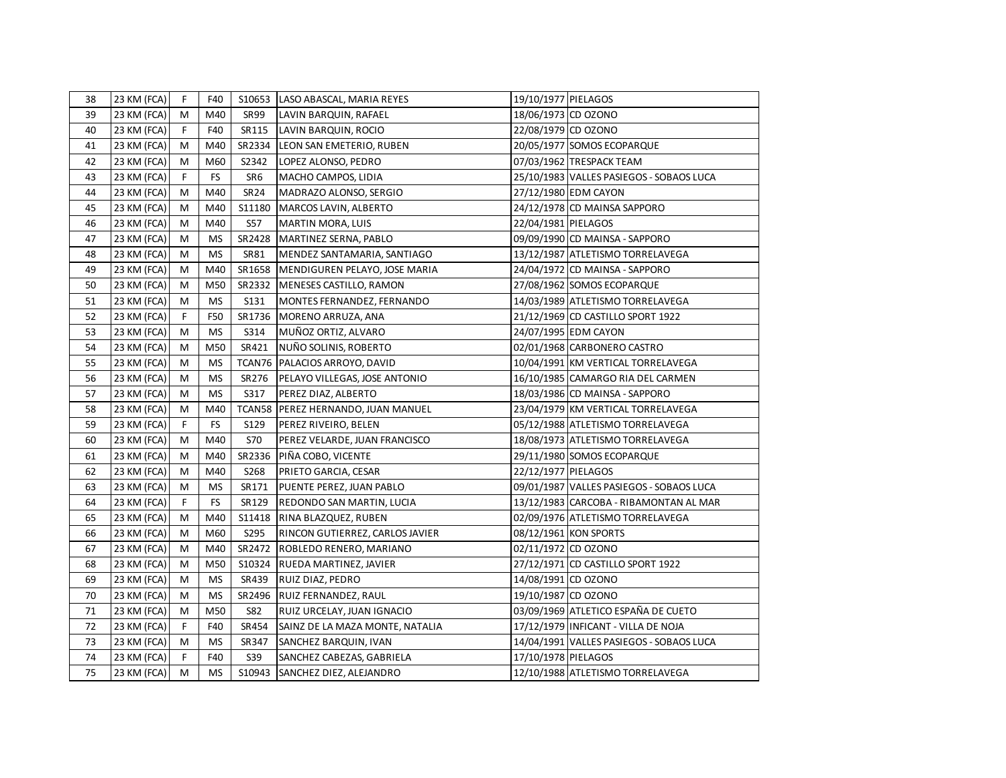| 38 | 23 KM (FCA) | F.          | F40       |                  | S10653  LASO ABASCAL, MARIA REYES    | 19/10/1977 PIELAGOS |                                          |
|----|-------------|-------------|-----------|------------------|--------------------------------------|---------------------|------------------------------------------|
| 39 | 23 KM (FCA) | M           | M40       | SR99             | LAVIN BARQUIN, RAFAEL                | 18/06/1973 CD OZONO |                                          |
| 40 | 23 KM (FCA) | F           | F40       | SR115            | LAVIN BARQUIN, ROCIO                 | 22/08/1979 CD OZONO |                                          |
| 41 | 23 KM (FCA) | M           | M40       | SR2334           | LEON SAN EMETERIO, RUBEN             |                     | 20/05/1977 SOMOS ECOPARQUE               |
| 42 | 23 KM (FCA) | M           | M60       | S2342            | LOPEZ ALONSO, PEDRO                  |                     | 07/03/1962 TRESPACK TEAM                 |
| 43 | 23 KM (FCA) | $\mathsf F$ | <b>FS</b> | SR6              | MACHO CAMPOS, LIDIA                  |                     | 25/10/1983 VALLES PASIEGOS - SOBAOS LUCA |
| 44 | 23 KM (FCA) | М           | M40       | SR <sub>24</sub> | MADRAZO ALONSO, SERGIO               |                     | 27/12/1980 EDM CAYON                     |
| 45 | 23 KM (FCA) | M           | M40       | S11180           | MARCOS LAVIN, ALBERTO                |                     | 24/12/1978 CD MAINSA SAPPORO             |
| 46 | 23 KM (FCA) | M           | M40       | <b>S57</b>       | MARTIN MORA, LUIS                    | 22/04/1981 PIELAGOS |                                          |
| 47 | 23 KM (FCA) | М           | <b>MS</b> | SR2428           | MARTINEZ SERNA, PABLO                |                     | 09/09/1990 CD MAINSA - SAPPORO           |
| 48 | 23 KM (FCA) | M           | <b>MS</b> | SR81             | MENDEZ SANTAMARIA, SANTIAGO          |                     | 13/12/1987 ATLETISMO TORRELAVEGA         |
| 49 | 23 KM (FCA) | M           | M40       | SR1658           | MENDIGUREN PELAYO, JOSE MARIA        |                     | 24/04/1972 CD MAINSA - SAPPORO           |
| 50 | 23 KM (FCA) | M           | M50       | SR2332           | MENESES CASTILLO, RAMON              |                     | 27/08/1962 SOMOS ECOPARQUE               |
| 51 | 23 KM (FCA) | M           | <b>MS</b> | S131             | MONTES FERNANDEZ, FERNANDO           |                     | 14/03/1989 ATLETISMO TORRELAVEGA         |
| 52 | 23 KM (FCA) | $\mathsf F$ | F50       | SR1736           | MORENO ARRUZA, ANA                   |                     | 21/12/1969 CD CASTILLO SPORT 1922        |
| 53 | 23 KM (FCA) | M           | <b>MS</b> | S314             | MUÑOZ ORTIZ, ALVARO                  |                     | 24/07/1995 EDM CAYON                     |
| 54 | 23 KM (FCA) | M           | M50       | SR421            | NUÑO SOLINIS, ROBERTO                |                     | 02/01/1968 CARBONERO CASTRO              |
| 55 | 23 KM (FCA) | M           | <b>MS</b> | TCAN76           | PALACIOS ARROYO, DAVID               |                     | 10/04/1991 KM VERTICAL TORRELAVEGA       |
| 56 | 23 KM (FCA) | M           | <b>MS</b> | SR276            | PELAYO VILLEGAS, JOSE ANTONIO        |                     | 16/10/1985 CAMARGO RIA DEL CARMEN        |
| 57 | 23 KM (FCA) | M           | <b>MS</b> | S317             | PEREZ DIAZ, ALBERTO                  |                     | 18/03/1986 CD MAINSA - SAPPORO           |
| 58 | 23 KM (FCA) | M           | M40       |                  | TCAN58   PEREZ HERNANDO, JUAN MANUEL |                     | 23/04/1979 KM VERTICAL TORRELAVEGA       |
| 59 | 23 KM (FCA) | F           | <b>FS</b> | S129             | PEREZ RIVEIRO, BELEN                 |                     | 05/12/1988 ATLETISMO TORRELAVEGA         |
| 60 | 23 KM (FCA) | M           | M40       | <b>S70</b>       | PEREZ VELARDE, JUAN FRANCISCO        |                     | 18/08/1973 ATLETISMO TORRELAVEGA         |
| 61 | 23 KM (FCA) | M           | M40       | SR2336           | PIÑA COBO, VICENTE                   |                     | 29/11/1980 SOMOS ECOPARQUE               |
| 62 | 23 KM (FCA) | M           | M40       | S268             | PRIETO GARCIA, CESAR                 | 22/12/1977 PIELAGOS |                                          |
| 63 | 23 KM (FCA) | M           | MS        | SR171            | PUENTE PEREZ, JUAN PABLO             |                     | 09/01/1987 VALLES PASIEGOS - SOBAOS LUCA |
| 64 | 23 KM (FCA) | F.          | <b>FS</b> | SR129            | REDONDO SAN MARTIN, LUCIA            |                     | 13/12/1983 CARCOBA - RIBAMONTAN AL MAR   |
| 65 | 23 KM (FCA) | M           | M40       | S11418           | RINA BLAZQUEZ, RUBEN                 |                     | 02/09/1976 ATLETISMO TORRELAVEGA         |
| 66 | 23 KM (FCA) | M           | M60       | S295             | RINCON GUTIERREZ, CARLOS JAVIER      |                     | 08/12/1961 KON SPORTS                    |
| 67 | 23 KM (FCA) | M           | M40       | SR2472           | ROBLEDO RENERO, MARIANO              | 02/11/1972 CD OZONO |                                          |
| 68 | 23 KM (FCA) | M           | M50       | S10324           | RUEDA MARTINEZ, JAVIER               |                     | 27/12/1971 CD CASTILLO SPORT 1922        |
| 69 | 23 KM (FCA) | M           | MS        | SR439            | RUIZ DIAZ, PEDRO                     | 14/08/1991 CD OZONO |                                          |
| 70 | 23 KM (FCA) | M           | <b>MS</b> | SR2496           | RUIZ FERNANDEZ, RAUL                 | 19/10/1987 CD OZONO |                                          |
| 71 | 23 KM (FCA) | M           | M50       | <b>S82</b>       | RUIZ URCELAY, JUAN IGNACIO           |                     | 03/09/1969 ATLETICO ESPAÑA DE CUETO      |
| 72 | 23 KM (FCA) | F           | F40       | SR454            | SAINZ DE LA MAZA MONTE, NATALIA      |                     | 17/12/1979 INFICANT - VILLA DE NOJA      |
| 73 | 23 KM (FCA) | M           | MS        | SR347            | SANCHEZ BARQUIN, IVAN                |                     | 14/04/1991 VALLES PASIEGOS - SOBAOS LUCA |
| 74 | 23 KM (FCA) | F           | F40       | S39              | SANCHEZ CABEZAS, GABRIELA            | 17/10/1978 PIELAGOS |                                          |
| 75 | 23 KM (FCA) | M           | <b>MS</b> | S10943           | SANCHEZ DIEZ, ALEJANDRO              |                     | 12/10/1988 ATLETISMO TORRELAVEGA         |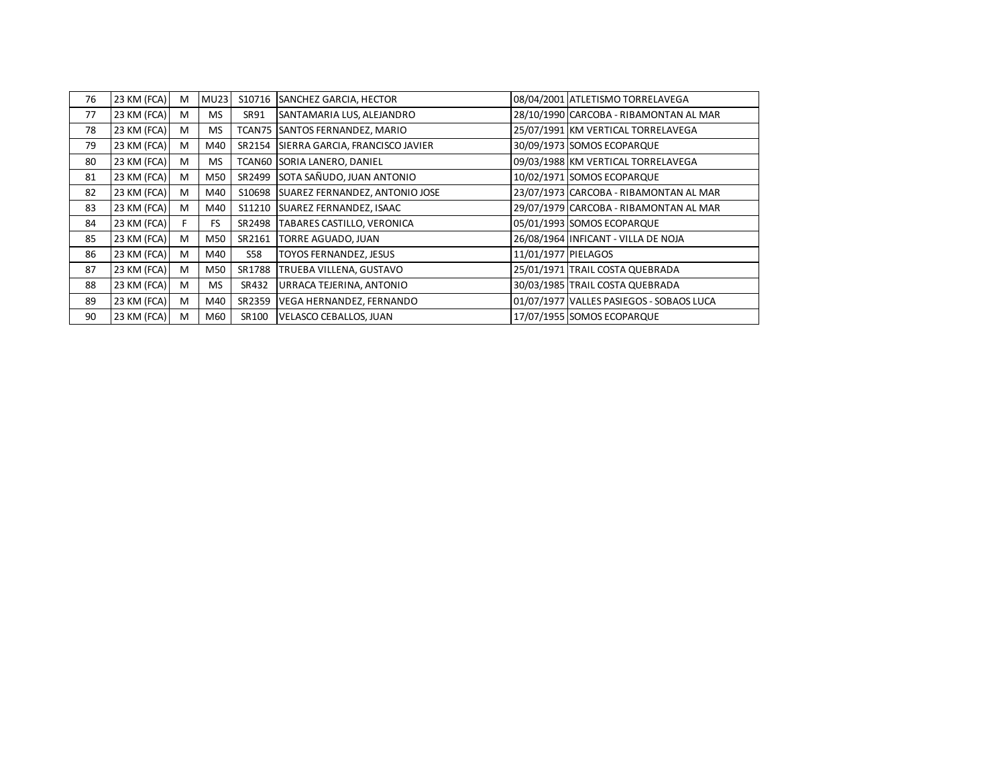| 76 | 23 KM (FCA) | M | <b>MU23</b> | S10716     | <b>SANCHEZ GARCIA, HECTOR</b>   |                     | 08/04/2001 ATLETISMO TORRELAVEGA         |
|----|-------------|---|-------------|------------|---------------------------------|---------------------|------------------------------------------|
| 77 | 23 KM (FCA) | M | <b>MS</b>   | SR91       | SANTAMARIA LUS, ALEJANDRO       |                     | 28/10/1990 CARCOBA - RIBAMONTAN AL MAR   |
| 78 | 23 KM (FCA) | M | <b>MS</b>   | TCAN75     | SANTOS FERNANDEZ, MARIO         |                     | 25/07/1991 KM VERTICAL TORRELAVEGA       |
| 79 | 23 KM (FCA) | M | M40         | SR2154     | SIERRA GARCIA, FRANCISCO JAVIER |                     | 30/09/1973 SOMOS ECOPARQUE               |
| 80 | 23 KM (FCA) | M | <b>MS</b>   | TCAN60     | SORIA LANERO, DANIEL            |                     | 09/03/1988 KM VERTICAL TORRELAVEGA       |
| 81 | 23 KM (FCA) | M | M50         | SR2499     | SOTA SAÑUDO, JUAN ANTONIO       |                     | 10/02/1971 SOMOS ECOPARQUE               |
| 82 | 23 KM (FCA) | M | M40         | S10698     | SUAREZ FERNANDEZ, ANTONIO JOSE  |                     | 23/07/1973 CARCOBA - RIBAMONTAN AL MAR   |
| 83 | 23 KM (FCA) | M | M40         | S11210     | SUAREZ FERNANDEZ, ISAAC         |                     | 29/07/1979 CARCOBA - RIBAMONTAN AL MAR   |
| 84 | 23 KM (FCA) |   | <b>FS</b>   | SR2498     | TABARES CASTILLO, VERONICA      |                     | 05/01/1993 SOMOS ECOPARQUE               |
| 85 | 23 KM (FCA) | M | M50         | SR2161     | TORRE AGUADO, JUAN              |                     | 26/08/1964 INFICANT - VILLA DE NOJA      |
| 86 | 23 KM (FCA) | M | M40         | <b>S58</b> | <b>TOYOS FERNANDEZ, JESUS</b>   | 11/01/1977 PIELAGOS |                                          |
| 87 | 23 KM (FCA) | M | M50         | SR1788     | TRUEBA VILLENA, GUSTAVO         |                     | 25/01/1971 TRAIL COSTA QUEBRADA          |
| 88 | 23 KM (FCA) | M | <b>MS</b>   | SR432      | URRACA TEJERINA, ANTONIO        |                     | 30/03/1985 TRAIL COSTA QUEBRADA          |
| 89 | 23 KM (FCA) | M | M40         | SR2359     | VEGA HERNANDEZ, FERNANDO        |                     | 01/07/1977 VALLES PASIEGOS - SOBAOS LUCA |
| 90 | 23 KM (FCA) | M | M60         | SR100      | VELASCO CEBALLOS, JUAN          |                     | 17/07/1955 SOMOS ECOPARQUE               |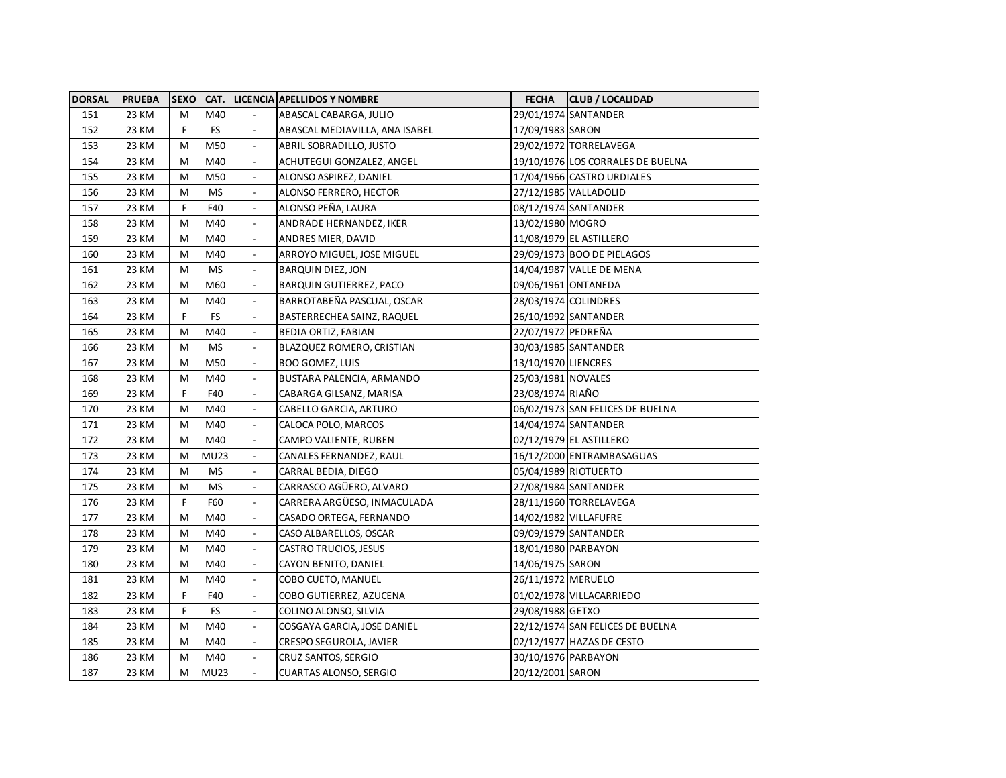| <b>DORSAL</b> | <b>PRUEBA</b> | <b>SEXO</b> |             |                          | <b>CAT. LICENCIA APELLIDOS Y NOMBRE</b> | <b>FECHA</b>         | <b>CLUB / LOCALIDAD</b>           |
|---------------|---------------|-------------|-------------|--------------------------|-----------------------------------------|----------------------|-----------------------------------|
| 151           | 23 KM         | M           | M40         |                          | ABASCAL CABARGA, JULIO                  |                      | 29/01/1974 SANTANDER              |
| 152           | 23 KM         | F           | <b>FS</b>   |                          | ABASCAL MEDIAVILLA, ANA ISABEL          | 17/09/1983 SARON     |                                   |
| 153           | 23 KM         | м           | M50         |                          | ABRIL SOBRADILLO, JUSTO                 |                      | 29/02/1972 TORRELAVEGA            |
| 154           | 23 KM         | М           | M40         |                          | ACHUTEGUI GONZALEZ, ANGEL               |                      | 19/10/1976 LOS CORRALES DE BUELNA |
| 155           | 23 KM         | М           | M50         |                          | ALONSO ASPIREZ, DANIEL                  |                      | 17/04/1966 CASTRO URDIALES        |
| 156           | 23 KM         | м           | <b>MS</b>   |                          | ALONSO FERRERO, HECTOR                  |                      | 27/12/1985 VALLADOLID             |
| 157           | 23 KM         | F           | F40         |                          | ALONSO PEÑA, LAURA                      |                      | 08/12/1974 SANTANDER              |
| 158           | 23 KM         | M           | M40         | $\overline{\phantom{a}}$ | ANDRADE HERNANDEZ, IKER                 | 13/02/1980 MOGRO     |                                   |
| 159           | 23 KM         | M           | M40         | $\overline{\phantom{a}}$ | ANDRES MIER, DAVID                      |                      | 11/08/1979 EL ASTILLERO           |
| 160           | 23 KM         | M           | M40         | $\overline{\phantom{a}}$ | ARROYO MIGUEL, JOSE MIGUEL              |                      | 29/09/1973 BOO DE PIELAGOS        |
| 161           | 23 KM         | M           | <b>MS</b>   | $\overline{a}$           | <b>BARQUIN DIEZ, JON</b>                |                      | 14/04/1987 VALLE DE MENA          |
| 162           | 23 KM         | M           | M60         | $\overline{\phantom{a}}$ | BARQUIN GUTIERREZ, PACO                 | 09/06/1961 ONTANEDA  |                                   |
| 163           | 23 KM         | М           | M40         | $\overline{\phantom{a}}$ | BARROTABEÑA PASCUAL, OSCAR              | 28/03/1974 COLINDRES |                                   |
| 164           | 23 KM         | F           | <b>FS</b>   | $\overline{\phantom{a}}$ | BASTERRECHEA SAINZ, RAQUEL              |                      | 26/10/1992 SANTANDER              |
| 165           | 23 KM         | М           | M40         | $\overline{\phantom{a}}$ | <b>BEDIA ORTIZ, FABIAN</b>              | 22/07/1972 PEDREÑA   |                                   |
| 166           | 23 KM         | М           | <b>MS</b>   | $\overline{\phantom{a}}$ | BLAZQUEZ ROMERO, CRISTIAN               |                      | 30/03/1985 SANTANDER              |
| 167           | 23 KM         | M           | M50         | $\overline{\phantom{a}}$ | <b>BOO GOMEZ, LUIS</b>                  | 13/10/1970 LIENCRES  |                                   |
| 168           | 23 KM         | M           | M40         | $\overline{\phantom{a}}$ | BUSTARA PALENCIA, ARMANDO               | 25/03/1981 NOVALES   |                                   |
| 169           | 23 KM         | F           | F40         | $\blacksquare$           | CABARGA GILSANZ, MARISA                 | 23/08/1974 RIAÑO     |                                   |
| 170           | 23 KM         | M           | M40         | $\blacksquare$           | CABELLO GARCIA, ARTURO                  |                      | 06/02/1973 SAN FELICES DE BUELNA  |
| 171           | 23 KM         | M           | M40         | $\overline{\phantom{a}}$ | CALOCA POLO, MARCOS                     |                      | 14/04/1974 SANTANDER              |
| 172           | 23 KM         | M           | M40         |                          | CAMPO VALIENTE, RUBEN                   |                      | 02/12/1979 EL ASTILLERO           |
| 173           | 23 KM         | M           | <b>MU23</b> |                          | CANALES FERNANDEZ, RAUL                 |                      | 16/12/2000 ENTRAMBASAGUAS         |
| 174           | 23 KM         | M           | ΜS          | $\blacksquare$           | CARRAL BEDIA, DIEGO                     |                      | 05/04/1989 RIOTUERTO              |
| 175           | 23 KM         | М           | <b>MS</b>   |                          | CARRASCO AGÜERO, ALVARO                 |                      | 27/08/1984 SANTANDER              |
| 176           | 23 KM         | F           | F60         |                          | CARRERA ARGÜESO, INMACULADA             |                      | 28/11/1960 TORRELAVEGA            |
| 177           | 23 KM         | M           | M40         |                          | CASADO ORTEGA, FERNANDO                 |                      | 14/02/1982 VILLAFUFRE             |
| 178           | 23 KM         | М           | M40         | $\overline{\phantom{a}}$ | CASO ALBARELLOS, OSCAR                  |                      | 09/09/1979 SANTANDER              |
| 179           | 23 KM         | М           | M40         |                          | CASTRO TRUCIOS, JESUS                   | 18/01/1980 PARBAYON  |                                   |
| 180           | 23 KM         | M           | M40         |                          | CAYON BENITO, DANIEL                    | 14/06/1975 SARON     |                                   |
| 181           | 23 KM         | M           | M40         |                          | COBO CUETO, MANUEL                      | 26/11/1972 MERUELO   |                                   |
| 182           | 23 KM         | F           | F40         | $\overline{\phantom{a}}$ | COBO GUTIERREZ, AZUCENA                 |                      | 01/02/1978 VILLACARRIEDO          |
| 183           | 23 KM         | F           | <b>FS</b>   |                          | COLINO ALONSO, SILVIA                   | 29/08/1988 GETXO     |                                   |
| 184           | 23 KM         | M           | M40         |                          | COSGAYA GARCIA, JOSE DANIEL             |                      | 22/12/1974 SAN FELICES DE BUELNA  |
| 185           | 23 KM         | M           | M40         |                          | CRESPO SEGUROLA, JAVIER                 |                      | 02/12/1977 HAZAS DE CESTO         |
| 186           | 23 KM         | M           | M40         |                          | CRUZ SANTOS, SERGIO                     | 30/10/1976 PARBAYON  |                                   |
| 187           | 23 KM         | M           | <b>MU23</b> |                          | <b>CUARTAS ALONSO, SERGIO</b>           | 20/12/2001 SARON     |                                   |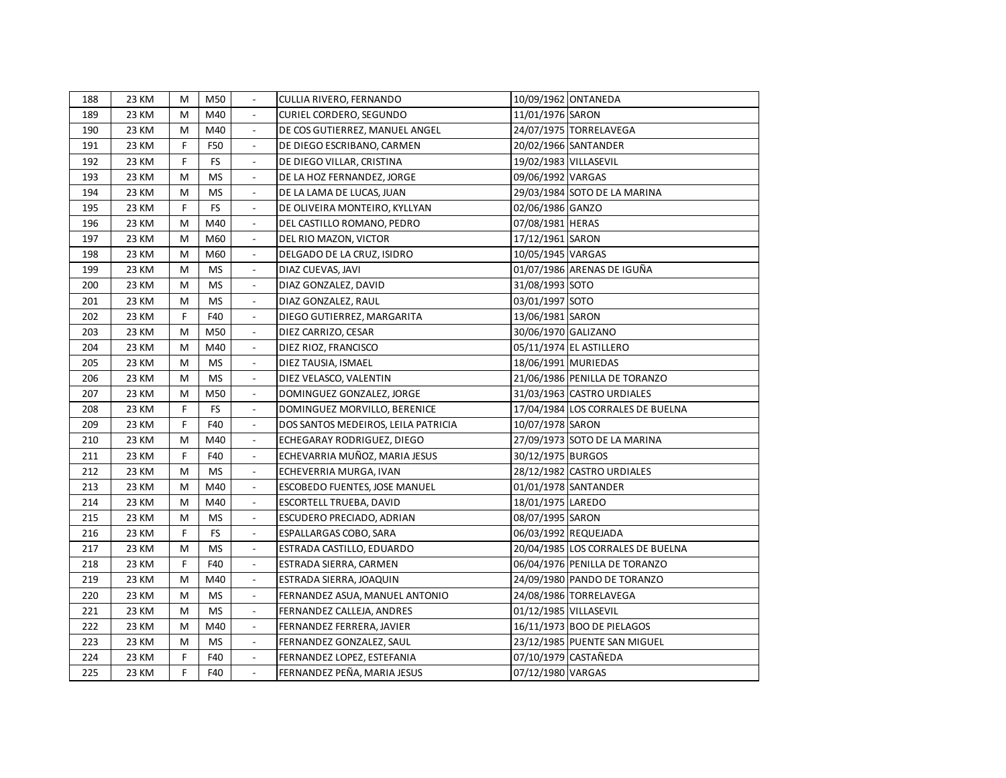| 188 | 23 KM | M | M50       |                          | CULLIA RIVERO, FERNANDO             |                       | 10/09/1962 ONTANEDA               |
|-----|-------|---|-----------|--------------------------|-------------------------------------|-----------------------|-----------------------------------|
| 189 | 23 KM | M | M40       |                          | CURIEL CORDERO, SEGUNDO             | 11/01/1976 SARON      |                                   |
| 190 | 23 KM | M | M40       |                          | DE COS GUTIERREZ, MANUEL ANGEL      |                       | 24/07/1975 TORRELAVEGA            |
| 191 | 23 KM | F | F50       |                          | DE DIEGO ESCRIBANO, CARMEN          |                       | 20/02/1966 SANTANDER              |
| 192 | 23 KM | F | <b>FS</b> | $\overline{\phantom{a}}$ | DE DIEGO VILLAR, CRISTINA           | 19/02/1983 VILLASEVIL |                                   |
| 193 | 23 KM | M | <b>MS</b> |                          | DE LA HOZ FERNANDEZ, JORGE          | 09/06/1992 VARGAS     |                                   |
| 194 | 23 KM | м | <b>MS</b> |                          | DE LA LAMA DE LUCAS, JUAN           |                       | 29/03/1984 SOTO DE LA MARINA      |
| 195 | 23 KM | F | <b>FS</b> |                          | DE OLIVEIRA MONTEIRO, KYLLYAN       | 02/06/1986 GANZO      |                                   |
| 196 | 23 KM | м | M40       |                          | DEL CASTILLO ROMANO, PEDRO          | 07/08/1981 HERAS      |                                   |
| 197 | 23 KM | м | M60       |                          | DEL RIO MAZON, VICTOR               | 17/12/1961 SARON      |                                   |
| 198 | 23 KM | M | M60       |                          | DELGADO DE LA CRUZ, ISIDRO          | 10/05/1945 VARGAS     |                                   |
| 199 | 23 KM | M | <b>MS</b> | $\overline{\phantom{a}}$ | DIAZ CUEVAS, JAVI                   |                       | 01/07/1986 ARENAS DE IGUÑA        |
| 200 | 23 KM | M | <b>MS</b> | $\overline{\phantom{a}}$ | DIAZ GONZALEZ, DAVID                | 31/08/1993 SOTO       |                                   |
| 201 | 23 KM | M | <b>MS</b> | $\blacksquare$           | DIAZ GONZALEZ, RAUL                 | 03/01/1997 SOTO       |                                   |
| 202 | 23 KM | F | F40       | $\mathbb{L}$             | DIEGO GUTIERREZ, MARGARITA          | 13/06/1981 SARON      |                                   |
| 203 | 23 KM | M | M50       | $\overline{\phantom{a}}$ | DIEZ CARRIZO, CESAR                 | 30/06/1970 GALIZANO   |                                   |
| 204 | 23 KM | M | M40       | $\overline{\phantom{a}}$ | DIEZ RIOZ, FRANCISCO                |                       | 05/11/1974 EL ASTILLERO           |
| 205 | 23 KM | M | MS        | $\overline{\phantom{a}}$ | DIEZ TAUSIA, ISMAEL                 | 18/06/1991 MURIEDAS   |                                   |
| 206 | 23 KM | М | <b>MS</b> | $\overline{\phantom{a}}$ | DIEZ VELASCO, VALENTIN              |                       | 21/06/1986 PENILLA DE TORANZO     |
| 207 | 23 KM | M | M50       | $\overline{\phantom{a}}$ | DOMINGUEZ GONZALEZ, JORGE           |                       | 31/03/1963 CASTRO URDIALES        |
| 208 | 23 KM | F | <b>FS</b> | $\overline{\phantom{a}}$ | DOMINGUEZ MORVILLO, BERENICE        |                       | 17/04/1984 LOS CORRALES DE BUELNA |
| 209 | 23 KM | F | F40       | $\blacksquare$           | DOS SANTOS MEDEIROS, LEILA PATRICIA | 10/07/1978 SARON      |                                   |
| 210 | 23 KM | Μ | M40       | $\overline{\phantom{a}}$ | ECHEGARAY RODRIGUEZ, DIEGO          |                       | 27/09/1973 SOTO DE LA MARINA      |
| 211 | 23 KM | F | F40       | $\overline{\phantom{a}}$ | ECHEVARRIA MUÑOZ, MARIA JESUS       | 30/12/1975 BURGOS     |                                   |
| 212 | 23 KM | M | <b>MS</b> | $\overline{\phantom{a}}$ | ECHEVERRIA MURGA, IVAN              |                       | 28/12/1982 CASTRO URDIALES        |
| 213 | 23 KM | M | M40       | $\overline{\phantom{a}}$ | ESCOBEDO FUENTES, JOSE MANUEL       |                       | 01/01/1978 SANTANDER              |
| 214 | 23 KM | M | M40       | $\blacksquare$           | ESCORTELL TRUEBA, DAVID             | 18/01/1975 LAREDO     |                                   |
| 215 | 23 KM | Μ | MS        |                          | ESCUDERO PRECIADO, ADRIAN           | 08/07/1995 SARON      |                                   |
| 216 | 23 KM | F | FS.       |                          | ESPALLARGAS COBO, SARA              |                       | 06/03/1992 REQUEJADA              |
| 217 | 23 KM | M | <b>MS</b> |                          | ESTRADA CASTILLO, EDUARDO           |                       | 20/04/1985 LOS CORRALES DE BUELNA |
| 218 | 23 KM | F | F40       | $\overline{\phantom{a}}$ | ESTRADA SIERRA, CARMEN              |                       | 06/04/1976 PENILLA DE TORANZO     |
| 219 | 23 KM | M | M40       |                          | ESTRADA SIERRA, JOAQUIN             |                       | 24/09/1980 PANDO DE TORANZO       |
| 220 | 23 KM | M | <b>MS</b> |                          | FERNANDEZ ASUA, MANUEL ANTONIO      |                       | 24/08/1986 TORRELAVEGA            |
| 221 | 23 KM | M | <b>MS</b> |                          | FERNANDEZ CALLEJA, ANDRES           | 01/12/1985 VILLASEVIL |                                   |
| 222 | 23 KM | M | M40       |                          | FERNANDEZ FERRERA, JAVIER           |                       | 16/11/1973 BOO DE PIELAGOS        |
| 223 | 23 KM | м | <b>MS</b> |                          | FERNANDEZ GONZALEZ, SAUL            |                       | 23/12/1985 PUENTE SAN MIGUEL      |
| 224 | 23 KM | F | F40       |                          | FERNANDEZ LOPEZ, ESTEFANIA          |                       | 07/10/1979 CASTAÑEDA              |
| 225 | 23 KM | F | F40       | $\overline{\phantom{a}}$ | FERNANDEZ PEÑA, MARIA JESUS         | 07/12/1980 VARGAS     |                                   |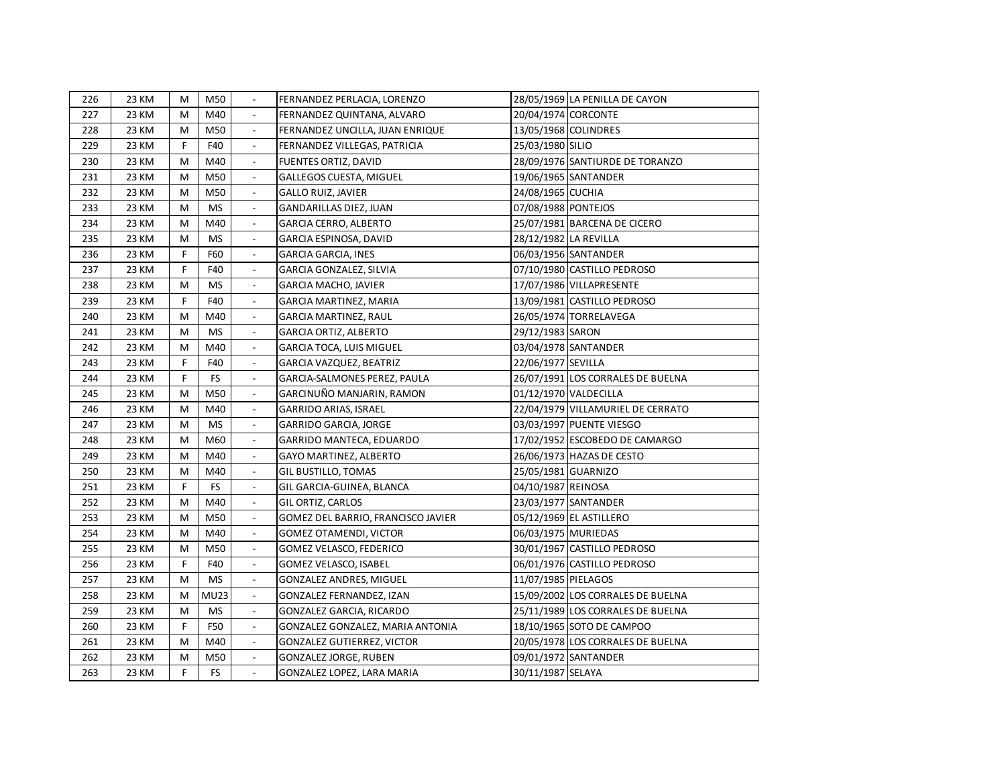| 226 | 23 KM | м | M50         |                          | FERNANDEZ PERLACIA, LORENZO        |                       | 28/05/1969 LA PENILLA DE CAYON    |
|-----|-------|---|-------------|--------------------------|------------------------------------|-----------------------|-----------------------------------|
| 227 | 23 KM | M | M40         |                          | FERNANDEZ QUINTANA, ALVARO         | 20/04/1974 CORCONTE   |                                   |
| 228 | 23 KM | м | M50         |                          | FERNANDEZ UNCILLA, JUAN ENRIQUE    |                       | 13/05/1968 COLINDRES              |
| 229 | 23 KM | F | F40         |                          | FERNANDEZ VILLEGAS, PATRICIA       | 25/03/1980 SILIO      |                                   |
| 230 | 23 KM | M | M40         |                          | FUENTES ORTIZ, DAVID               |                       | 28/09/1976 SANTIURDE DE TORANZO   |
| 231 | 23 KM | M | M50         |                          | <b>GALLEGOS CUESTA, MIGUEL</b>     |                       | 19/06/1965 SANTANDER              |
| 232 | 23 KM | M | M50         |                          | <b>GALLO RUIZ, JAVIER</b>          | 24/08/1965 CUCHIA     |                                   |
| 233 | 23 KM | M | <b>MS</b>   |                          | GANDARILLAS DIEZ, JUAN             | 07/08/1988 PONTEJOS   |                                   |
| 234 | 23 KM | M | M40         |                          | <b>GARCIA CERRO, ALBERTO</b>       |                       | 25/07/1981 BARCENA DE CICERO      |
| 235 | 23 KM | M | <b>MS</b>   | $\overline{\phantom{a}}$ | GARCIA ESPINOSA, DAVID             | 28/12/1982 LA REVILLA |                                   |
| 236 | 23 KM | F | F60         | $\overline{\phantom{a}}$ | <b>GARCIA GARCIA, INES</b>         |                       | 06/03/1956 SANTANDER              |
| 237 | 23 KM | F | F40         | $\mathbb{L}$             | GARCIA GONZALEZ, SILVIA            |                       | 07/10/1980 CASTILLO PEDROSO       |
| 238 | 23 KM | M | <b>MS</b>   | $\overline{\phantom{a}}$ | <b>GARCIA MACHO, JAVIER</b>        |                       | 17/07/1986 VILLAPRESENTE          |
| 239 | 23 KM | F | F40         | $\overline{\phantom{a}}$ | GARCIA MARTINEZ, MARIA             |                       | 13/09/1981 CASTILLO PEDROSO       |
| 240 | 23 KM | M | M40         | $\overline{\phantom{a}}$ | <b>GARCIA MARTINEZ, RAUL</b>       |                       | 26/05/1974 TORRELAVEGA            |
| 241 | 23 KM | M | <b>MS</b>   | $\overline{\phantom{a}}$ | <b>GARCIA ORTIZ, ALBERTO</b>       | 29/12/1983 SARON      |                                   |
| 242 | 23 KM | M | M40         | $\overline{\phantom{a}}$ | GARCIA TOCA, LUIS MIGUEL           |                       | 03/04/1978 SANTANDER              |
| 243 | 23 KM | F | F40         | $\overline{\phantom{a}}$ | GARCIA VAZQUEZ, BEATRIZ            | 22/06/1977 SEVILLA    |                                   |
| 244 | 23 KM | F | <b>FS</b>   | $\overline{\phantom{a}}$ | GARCIA-SALMONES PEREZ, PAULA       |                       | 26/07/1991 LOS CORRALES DE BUELNA |
| 245 | 23 KM | м | M50         | $\overline{\phantom{a}}$ | GARCINUÑO MANJARIN, RAMON          |                       | 01/12/1970 VALDECILLA             |
| 246 | 23 KM | м | M40         | $\blacksquare$           | GARRIDO ARIAS, ISRAEL              |                       | 22/04/1979 VILLAMURIEL DE CERRATO |
| 247 | 23 KM | м | <b>MS</b>   | $\blacksquare$           | GARRIDO GARCIA, JORGE              |                       | 03/03/1997 PUENTE VIESGO          |
| 248 | 23 KM | м | M60         |                          | GARRIDO MANTECA, EDUARDO           |                       | 17/02/1952 ESCOBEDO DE CAMARGO    |
| 249 | 23 KM | M | M40         | $\overline{\phantom{a}}$ | <b>GAYO MARTINEZ, ALBERTO</b>      |                       | 26/06/1973 HAZAS DE CESTO         |
| 250 | 23 KM | M | M40         | $\overline{\phantom{a}}$ | <b>GIL BUSTILLO, TOMAS</b>         | 25/05/1981 GUARNIZO   |                                   |
| 251 | 23 KM | F | <b>FS</b>   |                          | GIL GARCIA-GUINEA, BLANCA          | 04/10/1987 REINOSA    |                                   |
| 252 | 23 KM | M | M40         |                          | GIL ORTIZ, CARLOS                  |                       | 23/03/1977 SANTANDER              |
| 253 | 23 KM | M | M50         |                          | GOMEZ DEL BARRIO, FRANCISCO JAVIER |                       | 05/12/1969 EL ASTILLERO           |
| 254 | 23 KM | M | M40         | $\overline{\phantom{a}}$ | <b>GOMEZ OTAMENDI, VICTOR</b>      | 06/03/1975 MURIEDAS   |                                   |
| 255 | 23 KM | M | M50         |                          | GOMEZ VELASCO, FEDERICO            |                       | 30/01/1967 CASTILLO PEDROSO       |
| 256 | 23 KM | F | F40         |                          | GOMEZ VELASCO, ISABEL              |                       | 06/01/1976 CASTILLO PEDROSO       |
| 257 | 23 KM | M | <b>MS</b>   |                          | GONZALEZ ANDRES, MIGUEL            | 11/07/1985 PIELAGOS   |                                   |
| 258 | 23 KM | M | <b>MU23</b> | $\overline{\phantom{a}}$ | GONZALEZ FERNANDEZ, IZAN           |                       | 15/09/2002 LOS CORRALES DE BUELNA |
| 259 | 23 KM | м | MS.         |                          | GONZALEZ GARCIA, RICARDO           |                       | 25/11/1989 LOS CORRALES DE BUELNA |
| 260 | 23 KM | F | F50         |                          | GONZALEZ GONZALEZ, MARIA ANTONIA   |                       | 18/10/1965 SOTO DE CAMPOO         |
| 261 | 23 KM | м | M40         |                          | <b>GONZALEZ GUTIERREZ, VICTOR</b>  |                       | 20/05/1978 LOS CORRALES DE BUELNA |
| 262 | 23 KM | M | M50         |                          | <b>GONZALEZ JORGE, RUBEN</b>       |                       | 09/01/1972 SANTANDER              |
| 263 | 23 KM | F | FS          | $\overline{\phantom{a}}$ | GONZALEZ LOPEZ, LARA MARIA         | 30/11/1987 SELAYA     |                                   |
|     |       |   |             |                          |                                    |                       |                                   |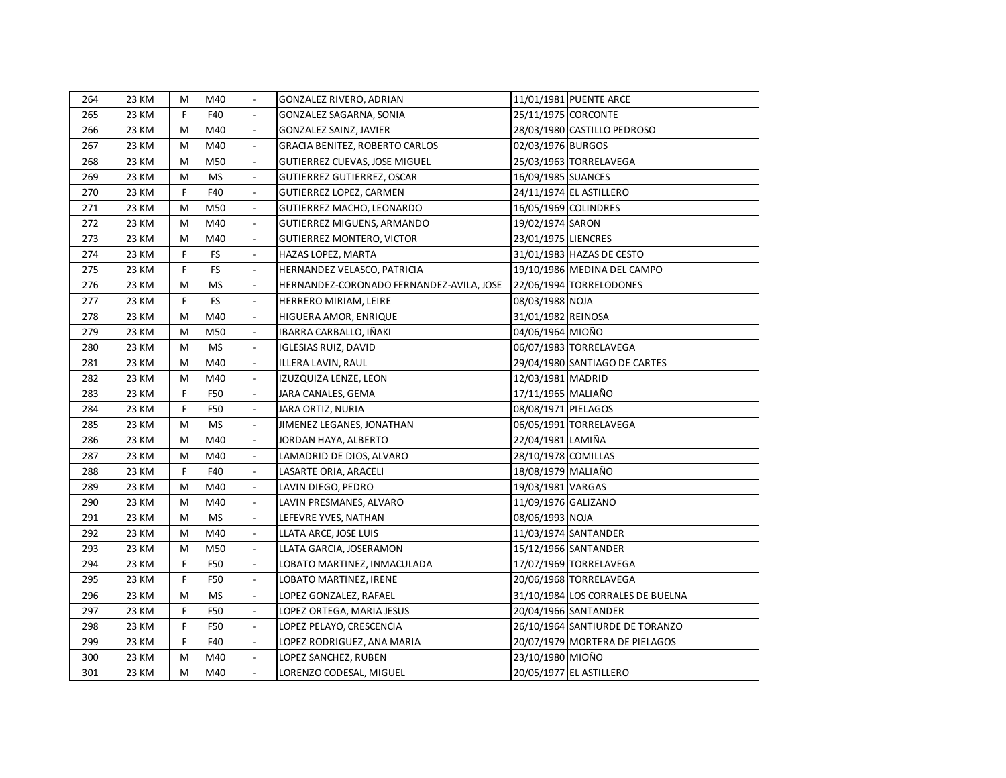| 264 | 23 KM | M           | M40       |                          | GONZALEZ RIVERO, ADRIAN                  |                     | 11/01/1981 PUENTE ARCE            |
|-----|-------|-------------|-----------|--------------------------|------------------------------------------|---------------------|-----------------------------------|
| 265 | 23 KM | F           | F40       |                          | GONZALEZ SAGARNA, SONIA                  | 25/11/1975 CORCONTE |                                   |
| 266 | 23 KM | M           | M40       | $\overline{\phantom{a}}$ | GONZALEZ SAINZ, JAVIER                   |                     | 28/03/1980 CASTILLO PEDROSO       |
| 267 | 23 KM | M           | M40       | $\blacksquare$           | GRACIA BENITEZ, ROBERTO CARLOS           | 02/03/1976 BURGOS   |                                   |
| 268 | 23 KM | M           | M50       | $\overline{\phantom{a}}$ | GUTIERREZ CUEVAS, JOSE MIGUEL            |                     | 25/03/1963 TORRELAVEGA            |
| 269 | 23 KM | M           | <b>MS</b> | $\overline{\phantom{a}}$ | GUTIERREZ GUTIERREZ, OSCAR               | 16/09/1985 SUANCES  |                                   |
| 270 | 23 KM | F           | F40       | $\overline{\phantom{a}}$ | GUTIERREZ LOPEZ, CARMEN                  |                     | 24/11/1974 EL ASTILLERO           |
| 271 | 23 KM | M           | M50       | $\overline{\phantom{a}}$ | GUTIERREZ MACHO, LEONARDO                |                     | 16/05/1969 COLINDRES              |
| 272 | 23 KM | M           | M40       |                          | GUTIERREZ MIGUENS, ARMANDO               | 19/02/1974 SARON    |                                   |
| 273 | 23 KM | M           | M40       |                          | <b>GUTIERREZ MONTERO, VICTOR</b>         | 23/01/1975 LIENCRES |                                   |
| 274 | 23 KM | F           | <b>FS</b> | $\overline{a}$           | HAZAS LOPEZ, MARTA                       |                     | 31/01/1983 HAZAS DE CESTO         |
| 275 | 23 KM | F           | <b>FS</b> | $\overline{a}$           | HERNANDEZ VELASCO, PATRICIA              |                     | 19/10/1986 MEDINA DEL CAMPO       |
| 276 | 23 KM | M           | MS        | $\blacksquare$           | HERNANDEZ-CORONADO FERNANDEZ-AVILA, JOSE |                     | 22/06/1994 TORRELODONES           |
| 277 | 23 KM | $\mathsf F$ | FS        | $\overline{\phantom{a}}$ | HERRERO MIRIAM, LEIRE                    | 08/03/1988 NOJA     |                                   |
| 278 | 23 KM | M           | M40       | $\overline{\phantom{a}}$ | HIGUERA AMOR, ENRIQUE                    | 31/01/1982 REINOSA  |                                   |
| 279 | 23 KM | М           | M50       | $\overline{\phantom{a}}$ | IBARRA CARBALLO, IÑAKI                   | 04/06/1964 MIOÑO    |                                   |
| 280 | 23 KM | М           | <b>MS</b> | $\overline{\phantom{a}}$ | <b>IGLESIAS RUIZ, DAVID</b>              |                     | 06/07/1983 TORRELAVEGA            |
| 281 | 23 KM | M           | M40       | $\blacksquare$           | ILLERA LAVIN, RAUL                       |                     | 29/04/1980 SANTIAGO DE CARTES     |
| 282 | 23 KM | М           | M40       | $\overline{\phantom{a}}$ | IZUZQUIZA LENZE, LEON                    | 12/03/1981 MADRID   |                                   |
| 283 | 23 KM | F           | F50       | $\overline{\phantom{a}}$ | JARA CANALES, GEMA                       | 17/11/1965 MALIAÑO  |                                   |
| 284 | 23 KM | F           | F50       | $\blacksquare$           | JARA ORTIZ, NURIA                        | 08/08/1971 PIELAGOS |                                   |
| 285 | 23 KM | M           | <b>MS</b> | $\overline{\phantom{a}}$ | JIMENEZ LEGANES, JONATHAN                |                     | 06/05/1991 TORRELAVEGA            |
| 286 | 23 KM | M           | M40       | $\overline{\phantom{a}}$ | JORDAN HAYA, ALBERTO                     | 22/04/1981 LAMIÑA   |                                   |
| 287 | 23 KM | M           | M40       | $\overline{\phantom{a}}$ | LAMADRID DE DIOS, ALVARO                 | 28/10/1978 COMILLAS |                                   |
| 288 | 23 KM | F           | F40       | $\overline{\phantom{a}}$ | LASARTE ORIA, ARACELI                    | 18/08/1979 MALIAÑO  |                                   |
| 289 | 23 KM | M           | M40       | $\blacksquare$           | LAVIN DIEGO, PEDRO                       | 19/03/1981 VARGAS   |                                   |
| 290 | 23 KM | M           | M40       | $\overline{\phantom{a}}$ | LAVIN PRESMANES, ALVARO                  | 11/09/1976 GALIZANO |                                   |
| 291 | 23 KM | M           | <b>MS</b> | $\overline{\phantom{a}}$ | LEFEVRE YVES, NATHAN                     | 08/06/1993 NOJA     |                                   |
| 292 | 23 KM | M           | M40       |                          | LLATA ARCE, JOSE LUIS                    |                     | 11/03/1974 SANTANDER              |
| 293 | 23 KM | M           | M50       |                          | LLATA GARCIA, JOSERAMON                  |                     | 15/12/1966 SANTANDER              |
| 294 | 23 KM | F           | F50       | $\overline{\phantom{a}}$ | LOBATO MARTINEZ, INMACULADA              |                     | 17/07/1969 TORRELAVEGA            |
| 295 | 23 KM | F           | F50       | $\overline{\phantom{a}}$ | LOBATO MARTINEZ, IRENE                   |                     | 20/06/1968 TORRELAVEGA            |
| 296 | 23 KM | M           | <b>MS</b> | $\overline{\phantom{a}}$ | LOPEZ GONZALEZ, RAFAEL                   |                     | 31/10/1984 LOS CORRALES DE BUELNA |
| 297 | 23 KM | F           | F50       | $\overline{\phantom{a}}$ | LOPEZ ORTEGA, MARIA JESUS                |                     | 20/04/1966 SANTANDER              |
| 298 | 23 KM | F           | F50       | $\overline{\phantom{a}}$ | LOPEZ PELAYO, CRESCENCIA                 |                     | 26/10/1964 SANTIURDE DE TORANZO   |
| 299 | 23 KM | F           | F40       |                          | LOPEZ RODRIGUEZ, ANA MARIA               |                     | 20/07/1979 MORTERA DE PIELAGOS    |
| 300 | 23 KM | M           | M40       | $\overline{\phantom{a}}$ | LOPEZ SANCHEZ, RUBEN                     | 23/10/1980 MIOÑO    |                                   |
| 301 | 23 KM | м           | M40       |                          | LORENZO CODESAL, MIGUEL                  |                     | 20/05/1977 EL ASTILLERO           |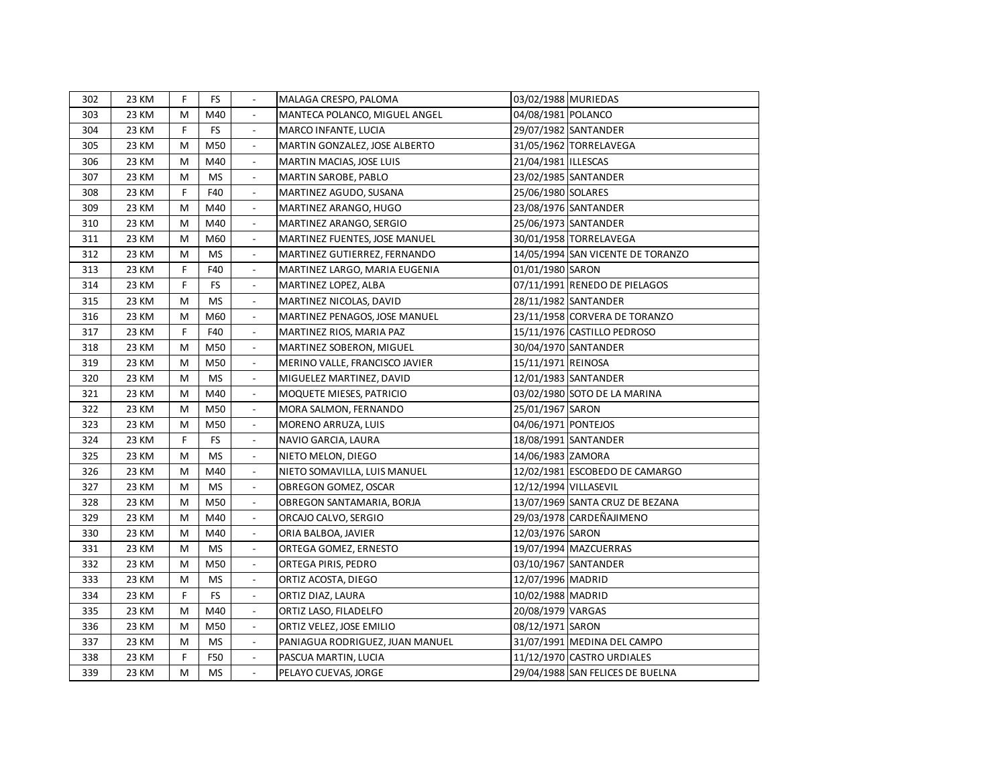| 302 | 23 KM | F. | <b>FS</b> |                          | MALAGA CRESPO, PALOMA           | 03/02/1988 MURIEDAS   |                                   |
|-----|-------|----|-----------|--------------------------|---------------------------------|-----------------------|-----------------------------------|
| 303 | 23 KM | M  | M40       |                          | MANTECA POLANCO, MIGUEL ANGEL   | 04/08/1981 POLANCO    |                                   |
| 304 | 23 KM | F  | <b>FS</b> | $\blacksquare$           | MARCO INFANTE, LUCIA            |                       | 29/07/1982 SANTANDER              |
| 305 | 23 KM | M  | M50       |                          | MARTIN GONZALEZ, JOSE ALBERTO   |                       | 31/05/1962 TORRELAVEGA            |
| 306 | 23 KM | M  | M40       | $\overline{\phantom{a}}$ | MARTIN MACIAS, JOSE LUIS        | 21/04/1981 ILLESCAS   |                                   |
| 307 | 23 KM | M  | <b>MS</b> | $\overline{\phantom{a}}$ | MARTIN SAROBE, PABLO            |                       | 23/02/1985 SANTANDER              |
| 308 | 23 KM | F  | F40       |                          | MARTINEZ AGUDO, SUSANA          | 25/06/1980 SOLARES    |                                   |
| 309 | 23 KM | м  | M40       |                          | MARTINEZ ARANGO, HUGO           |                       | 23/08/1976 SANTANDER              |
| 310 | 23 KM | м  | M40       |                          | MARTINEZ ARANGO, SERGIO         |                       | 25/06/1973 SANTANDER              |
| 311 | 23 KM | м  | M60       |                          | MARTINEZ FUENTES, JOSE MANUEL   |                       | 30/01/1958 TORRELAVEGA            |
| 312 | 23 KM | M  | <b>MS</b> |                          | MARTINEZ GUTIERREZ, FERNANDO    |                       | 14/05/1994 SAN VICENTE DE TORANZO |
| 313 | 23 KM | F  | F40       | $\overline{\phantom{a}}$ | MARTINEZ LARGO, MARIA EUGENIA   | 01/01/1980 SARON      |                                   |
| 314 | 23 KM | F  | <b>FS</b> | $\overline{\phantom{a}}$ | MARTINEZ LOPEZ, ALBA            |                       | 07/11/1991 RENEDO DE PIELAGOS     |
| 315 | 23 KM | M  | <b>MS</b> | $\overline{\phantom{a}}$ | MARTINEZ NICOLAS, DAVID         |                       | 28/11/1982 SANTANDER              |
| 316 | 23 KM | M  | M60       | $\blacksquare$           | MARTINEZ PENAGOS, JOSE MANUEL   |                       | 23/11/1958 CORVERA DE TORANZO     |
| 317 | 23 KM | F  | F40       | $\frac{1}{2}$            | MARTINEZ RIOS, MARIA PAZ        |                       | 15/11/1976 CASTILLO PEDROSO       |
| 318 | 23 KM | M  | M50       | $\overline{\phantom{a}}$ | MARTINEZ SOBERON, MIGUEL        |                       | 30/04/1970 SANTANDER              |
| 319 | 23 KM | M  | M50       | $\overline{\phantom{a}}$ | MERINO VALLE, FRANCISCO JAVIER  | 15/11/1971 REINOSA    |                                   |
| 320 | 23 KM | M  | <b>MS</b> | $\overline{\phantom{a}}$ | MIGUELEZ MARTINEZ, DAVID        |                       | 12/01/1983 SANTANDER              |
| 321 | 23 KM | M  | M40       | $\blacksquare$           | MOQUETE MIESES, PATRICIO        |                       | 03/02/1980 SOTO DE LA MARINA      |
| 322 | 23 KM | M  | M50       | $\blacksquare$           | MORA SALMON, FERNANDO           | 25/01/1967 SARON      |                                   |
| 323 | 23 KM | M  | M50       | $\blacksquare$           | MORENO ARRUZA, LUIS             | 04/06/1971 PONTEJOS   |                                   |
| 324 | 23 KM | F  | <b>FS</b> | $\overline{\phantom{a}}$ | NAVIO GARCIA, LAURA             |                       | 18/08/1991 SANTANDER              |
| 325 | 23 KM | M  | <b>MS</b> | $\overline{\phantom{a}}$ | NIETO MELON, DIEGO              | 14/06/1983 ZAMORA     |                                   |
| 326 | 23 KM | M  | M40       |                          | NIETO SOMAVILLA, LUIS MANUEL    |                       | 12/02/1981 ESCOBEDO DE CAMARGO    |
| 327 | 23 KM | M  | <b>MS</b> | $\blacksquare$           | OBREGON GOMEZ, OSCAR            | 12/12/1994 VILLASEVIL |                                   |
| 328 | 23 KM | м  | M50       |                          | OBREGON SANTAMARIA, BORJA       |                       | 13/07/1969 SANTA CRUZ DE BEZANA   |
| 329 | 23 KM | м  | M40       |                          | ORCAJO CALVO, SERGIO            |                       | 29/03/1978 CARDEÑAJIMENO          |
| 330 | 23 KM | M  | M40       |                          | ORIA BALBOA, JAVIER             | 12/03/1976 SARON      |                                   |
| 331 | 23 KM | M  | <b>MS</b> |                          | ORTEGA GOMEZ, ERNESTO           |                       | 19/07/1994 MAZCUERRAS             |
| 332 | 23 KM | м  | M50       | $\overline{\phantom{a}}$ | ORTEGA PIRIS, PEDRO             |                       | 03/10/1967 SANTANDER              |
| 333 | 23 KM | M  | <b>MS</b> |                          | ORTIZ ACOSTA, DIEGO             | 12/07/1996 MADRID     |                                   |
| 334 | 23 KM | F  | <b>FS</b> |                          | ORTIZ DIAZ, LAURA               | 10/02/1988 MADRID     |                                   |
| 335 | 23 KM | M  | M40       |                          | ORTIZ LASO, FILADELFO           | 20/08/1979 VARGAS     |                                   |
| 336 | 23 KM | M  | M50       |                          | ORTIZ VELEZ, JOSE EMILIO        | 08/12/1971 SARON      |                                   |
| 337 | 23 KM | M  | <b>MS</b> |                          | PANIAGUA RODRIGUEZ, JUAN MANUEL |                       | 31/07/1991 MEDINA DEL CAMPO       |
| 338 | 23 KM | F  | F50       |                          | PASCUA MARTIN, LUCIA            |                       | 11/12/1970 CASTRO URDIALES        |
| 339 | 23 KM | M  | <b>MS</b> | $\overline{\phantom{a}}$ | PELAYO CUEVAS, JORGE            |                       | 29/04/1988 SAN FELICES DE BUELNA  |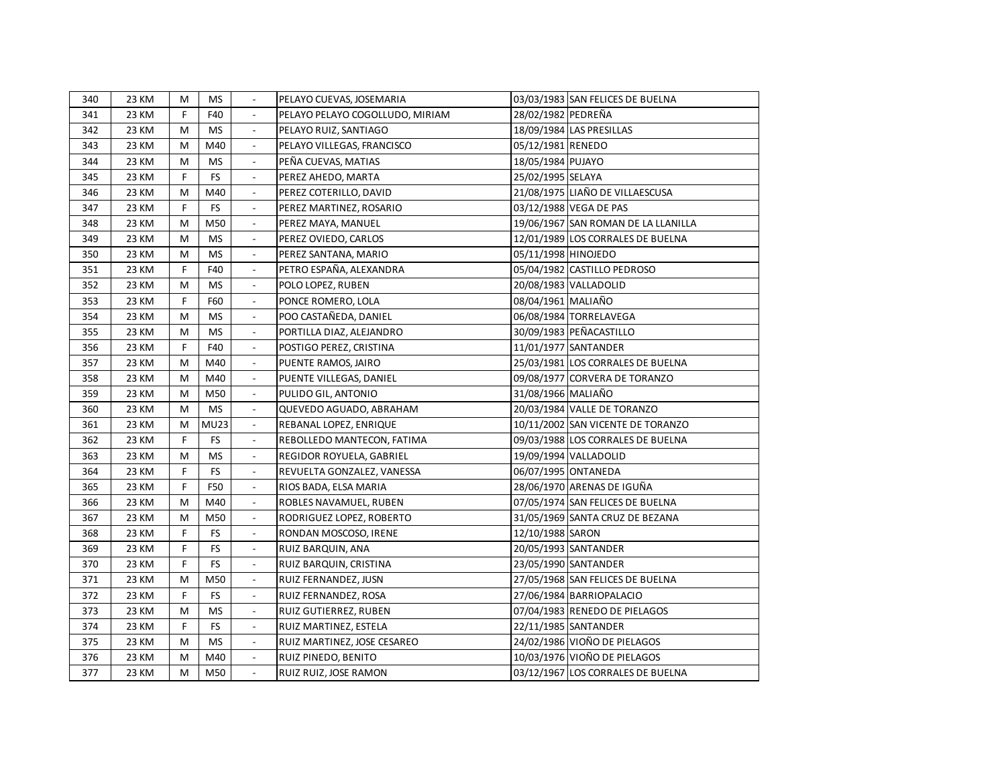| 340 | 23 KM | м | <b>MS</b>   |                          | PELAYO CUEVAS, JOSEMARIA        |                     | 03/03/1983 SAN FELICES DE BUELNA    |
|-----|-------|---|-------------|--------------------------|---------------------------------|---------------------|-------------------------------------|
| 341 | 23 KM | F | F40         |                          | PELAYO PELAYO COGOLLUDO, MIRIAM | 28/02/1982 PEDREÑA  |                                     |
| 342 | 23 KM | м | <b>MS</b>   |                          | PELAYO RUIZ, SANTIAGO           |                     | 18/09/1984 LAS PRESILLAS            |
| 343 | 23 KM | M | M40         |                          | PELAYO VILLEGAS, FRANCISCO      | 05/12/1981 RENEDO   |                                     |
| 344 | 23 KM | м | <b>MS</b>   |                          | PEÑA CUEVAS, MATIAS             | 18/05/1984 PUJAYO   |                                     |
| 345 | 23 KM | F | <b>FS</b>   |                          | PEREZ AHEDO, MARTA              | 25/02/1995 SELAYA   |                                     |
| 346 | 23 KM | M | M40         |                          | PEREZ COTERILLO, DAVID          |                     | 21/08/1975 LIAÑO DE VILLAESCUSA     |
| 347 | 23 KM | F | <b>FS</b>   |                          | PEREZ MARTINEZ, ROSARIO         |                     | 03/12/1988 VEGA DE PAS              |
| 348 | 23 KM | M | M50         |                          | PEREZ MAYA, MANUEL              |                     | 19/06/1967 SAN ROMAN DE LA LLANILLA |
| 349 | 23 KM | M | <b>MS</b>   | $\overline{\phantom{a}}$ | PEREZ OVIEDO, CARLOS            |                     | 12/01/1989 LOS CORRALES DE BUELNA   |
| 350 | 23 KM | M | <b>MS</b>   | $\mathbb{L}$             | PEREZ SANTANA, MARIO            | 05/11/1998 HINOJEDO |                                     |
| 351 | 23 KM | F | F40         | $\overline{a}$           | PETRO ESPAÑA, ALEXANDRA         |                     | 05/04/1982 CASTILLO PEDROSO         |
| 352 | 23 KM | M | <b>MS</b>   | $\overline{\phantom{a}}$ | POLO LOPEZ, RUBEN               |                     | 20/08/1983 VALLADOLID               |
| 353 | 23 KM | F | F60         | $\overline{\phantom{a}}$ | PONCE ROMERO, LOLA              | 08/04/1961 MALIAÑO  |                                     |
| 354 | 23 KM | M | <b>MS</b>   | $\overline{\phantom{a}}$ | POO CASTAÑEDA, DANIEL           |                     | 06/08/1984 TORRELAVEGA              |
| 355 | 23 KM | M | <b>MS</b>   | $\overline{\phantom{a}}$ | PORTILLA DIAZ, ALEJANDRO        |                     | 30/09/1983 PEÑACASTILLO             |
| 356 | 23 KM | F | F40         | $\overline{\phantom{a}}$ | POSTIGO PEREZ, CRISTINA         |                     | 11/01/1977 SANTANDER                |
| 357 | 23 KM | м | M40         | $\overline{\phantom{a}}$ | PUENTE RAMOS, JAIRO             |                     | 25/03/1981 LOS CORRALES DE BUELNA   |
| 358 | 23 KM | м | M40         | $\overline{\phantom{a}}$ | PUENTE VILLEGAS, DANIEL         |                     | 09/08/1977 CORVERA DE TORANZO       |
| 359 | 23 KM | M | M50         | $\blacksquare$           | PULIDO GIL, ANTONIO             | 31/08/1966 MALIAÑO  |                                     |
| 360 | 23 KM | M | <b>MS</b>   | $\blacksquare$           | QUEVEDO AGUADO, ABRAHAM         |                     | 20/03/1984 VALLE DE TORANZO         |
| 361 | 23 KM | м | <b>MU23</b> | $\overline{\phantom{a}}$ | REBANAL LOPEZ, ENRIQUE          |                     | 10/11/2002 SAN VICENTE DE TORANZO   |
| 362 | 23 KM | F | FS.         | $\overline{\phantom{a}}$ | REBOLLEDO MANTECON, FATIMA      |                     | 09/03/1988 LOS CORRALES DE BUELNA   |
| 363 | 23 KM | м | MS          | $\overline{\phantom{a}}$ | REGIDOR ROYUELA, GABRIEL        |                     | 19/09/1994 VALLADOLID               |
| 364 | 23 KM | F | FS          | $\overline{\phantom{a}}$ | REVUELTA GONZALEZ, VANESSA      |                     | 06/07/1995 ONTANEDA                 |
| 365 | 23 KM | F | F50         |                          | RIOS BADA, ELSA MARIA           |                     | 28/06/1970 ARENAS DE IGUÑA          |
| 366 | 23 KM | M | M40         |                          | ROBLES NAVAMUEL, RUBEN          |                     | 07/05/1974 SAN FELICES DE BUELNA    |
| 367 | 23 KM | M | M50         |                          | RODRIGUEZ LOPEZ, ROBERTO        |                     | 31/05/1969 SANTA CRUZ DE BEZANA     |
| 368 | 23 KM | F | FS.         | $\overline{\phantom{a}}$ | RONDAN MOSCOSO, IRENE           | 12/10/1988 SARON    |                                     |
| 369 | 23 KM | F | FS          |                          | RUIZ BARQUIN, ANA               |                     | 20/05/1993 SANTANDER                |
| 370 | 23 KM | F | FS          |                          | RUIZ BARQUIN, CRISTINA          |                     | 23/05/1990 SANTANDER                |
| 371 | 23 KM | M | M50         |                          | RUIZ FERNANDEZ, JUSN            |                     | 27/05/1968 SAN FELICES DE BUELNA    |
| 372 | 23 KM | F | <b>FS</b>   |                          | RUIZ FERNANDEZ, ROSA            |                     | 27/06/1984 BARRIOPALACIO            |
| 373 | 23 KM | м | <b>MS</b>   |                          | RUIZ GUTIERREZ, RUBEN           |                     | 07/04/1983 RENEDO DE PIELAGOS       |
| 374 | 23 KM | F | <b>FS</b>   |                          | RUIZ MARTINEZ, ESTELA           |                     | 22/11/1985 SANTANDER                |
| 375 | 23 KM | м | <b>MS</b>   |                          | RUIZ MARTINEZ, JOSE CESAREO     |                     | 24/02/1986 VIOÑO DE PIELAGOS        |
| 376 | 23 KM | м | M40         |                          | RUIZ PINEDO, BENITO             |                     | 10/03/1976 VIOÑO DE PIELAGOS        |
| 377 | 23 KM | м | M50         |                          | RUIZ RUIZ, JOSE RAMON           |                     | 03/12/1967 LOS CORRALES DE BUELNA   |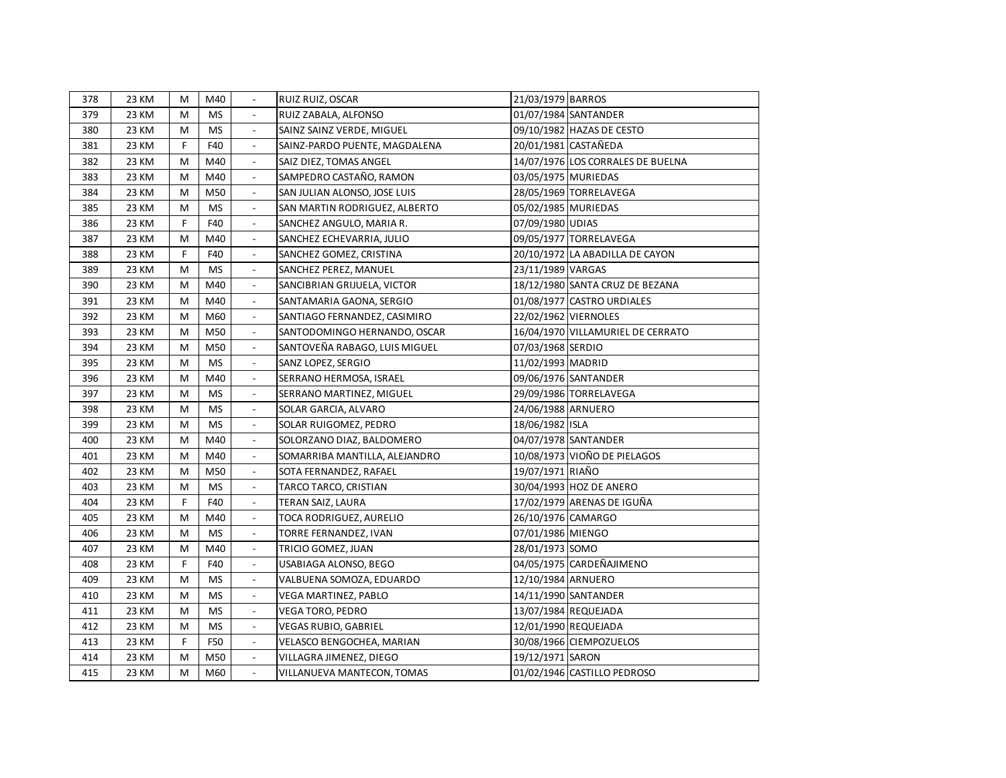| 378 | 23 KM | м | M40       |                          | RUIZ RUIZ, OSCAR              | 21/03/1979 BARROS    |                                   |
|-----|-------|---|-----------|--------------------------|-------------------------------|----------------------|-----------------------------------|
| 379 | 23 KM | M | <b>MS</b> |                          | RUIZ ZABALA, ALFONSO          |                      | 01/07/1984 SANTANDER              |
| 380 | 23 KM | M | <b>MS</b> |                          | SAINZ SAINZ VERDE, MIGUEL     |                      | 09/10/1982 HAZAS DE CESTO         |
| 381 | 23 KM | F | F40       |                          | SAINZ-PARDO PUENTE, MAGDALENA |                      | 20/01/1981 CASTAÑEDA              |
| 382 | 23 KM | M | M40       |                          | SAIZ DIEZ, TOMAS ANGEL        |                      | 14/07/1976 LOS CORRALES DE BUELNA |
| 383 | 23 KM | M | M40       |                          | SAMPEDRO CASTAÑO, RAMON       | 03/05/1975 MURIEDAS  |                                   |
| 384 | 23 KM | M | M50       |                          | SAN JULIAN ALONSO, JOSE LUIS  |                      | 28/05/1969 TORRELAVEGA            |
| 385 | 23 KM | M | <b>MS</b> |                          | SAN MARTIN RODRIGUEZ, ALBERTO | 05/02/1985 MURIEDAS  |                                   |
| 386 | 23 KM | F | F40       |                          | SANCHEZ ANGULO, MARIA R.      | 07/09/1980 UDIAS     |                                   |
| 387 | 23 KM | M | M40       |                          | SANCHEZ ECHEVARRIA, JULIO     |                      | 09/05/1977 TORRELAVEGA            |
| 388 | 23 KM | F | F40       | $\mathbb{L}$             | SANCHEZ GOMEZ, CRISTINA       |                      | 20/10/1972 LA ABADILLA DE CAYON   |
| 389 | 23 KM | м | <b>MS</b> | $\overline{a}$           | SANCHEZ PEREZ, MANUEL         | 23/11/1989 VARGAS    |                                   |
| 390 | 23 KM | м | M40       | $\frac{1}{2}$            | SANCIBRIAN GRIJUELA, VICTOR   |                      | 18/12/1980 SANTA CRUZ DE BEZANA   |
| 391 | 23 KM | M | M40       | $\mathbb{L}$             | SANTAMARIA GAONA, SERGIO      |                      | 01/08/1977 CASTRO URDIALES        |
| 392 | 23 KM | M | M60       | $\overline{\phantom{a}}$ | SANTIAGO FERNANDEZ, CASIMIRO  | 22/02/1962 VIERNOLES |                                   |
| 393 | 23 KM | M | M50       | $\frac{1}{2}$            | SANTODOMINGO HERNANDO, OSCAR  |                      | 16/04/1970 VILLAMURIEL DE CERRATO |
| 394 | 23 KM | M | M50       | $\overline{\phantom{a}}$ | SANTOVEÑA RABAGO, LUIS MIGUEL | 07/03/1968 SERDIO    |                                   |
| 395 | 23 KM | M | <b>MS</b> | $\blacksquare$           | SANZ LOPEZ, SERGIO            | 11/02/1993 MADRID    |                                   |
| 396 | 23 KM | M | M40       | $\Box$                   | SERRANO HERMOSA, ISRAEL       |                      | 09/06/1976 SANTANDER              |
| 397 | 23 KM | M | <b>MS</b> | $\overline{\phantom{a}}$ | SERRANO MARTINEZ, MIGUEL      |                      | 29/09/1986 TORRELAVEGA            |
| 398 | 23 KM | M | <b>MS</b> | $\overline{\phantom{a}}$ | SOLAR GARCIA, ALVARO          | 24/06/1988 ARNUERO   |                                   |
| 399 | 23 KM | М | <b>MS</b> | $\overline{\phantom{a}}$ | SOLAR RUIGOMEZ, PEDRO         | 18/06/1982 ISLA      |                                   |
| 400 | 23 KM | м | M40       | $\overline{\phantom{a}}$ | SOLORZANO DIAZ, BALDOMERO     |                      | 04/07/1978 SANTANDER              |
| 401 | 23 KM | M | M40       | $\overline{\phantom{a}}$ | SOMARRIBA MANTILLA, ALEJANDRO |                      | 10/08/1973 VIOÑO DE PIELAGOS      |
| 402 | 23 KM | M | M50       | $\overline{\phantom{a}}$ | SOTA FERNANDEZ, RAFAEL        | 19/07/1971 RIAÑO     |                                   |
| 403 | 23 KM | M | <b>MS</b> | $\overline{\phantom{a}}$ | TARCO TARCO, CRISTIAN         |                      | 30/04/1993 HOZ DE ANERO           |
| 404 | 23 KM | F | F40       |                          | TERAN SAIZ, LAURA             |                      | 17/02/1979 ARENAS DE IGUÑA        |
| 405 | 23 KM | M | M40       |                          | TOCA RODRIGUEZ, AURELIO       | 26/10/1976 CAMARGO   |                                   |
| 406 | 23 KM | M | <b>MS</b> |                          | TORRE FERNANDEZ, IVAN         | 07/01/1986 MIENGO    |                                   |
| 407 | 23 KM | M | M40       |                          | TRICIO GOMEZ, JUAN            | 28/01/1973 SOMO      |                                   |
| 408 | 23 KM | F | F40       |                          | USABIAGA ALONSO, BEGO         |                      | 04/05/1975 CARDEÑAJIMENO          |
| 409 | 23 KM | M | <b>MS</b> |                          | VALBUENA SOMOZA, EDUARDO      | 12/10/1984 ARNUERO   |                                   |
| 410 | 23 KM | M | <b>MS</b> |                          | VEGA MARTINEZ, PABLO          |                      | 14/11/1990 SANTANDER              |
| 411 | 23 KM | M | <b>MS</b> |                          | VEGA TORO, PEDRO              |                      | 13/07/1984 REQUEJADA              |
| 412 | 23 KM | M | <b>MS</b> |                          | VEGAS RUBIO, GABRIEL          |                      | 12/01/1990 REQUEJADA              |
| 413 | 23 KM | F | F50       |                          | VELASCO BENGOCHEA, MARIAN     |                      | 30/08/1966 CIEMPOZUELOS           |
| 414 | 23 KM | м | M50       |                          | VILLAGRA JIMENEZ, DIEGO       | 19/12/1971 SARON     |                                   |
| 415 | 23 KM | м | M60       |                          | VILLANUEVA MANTECON, TOMAS    |                      | 01/02/1946 CASTILLO PEDROSO       |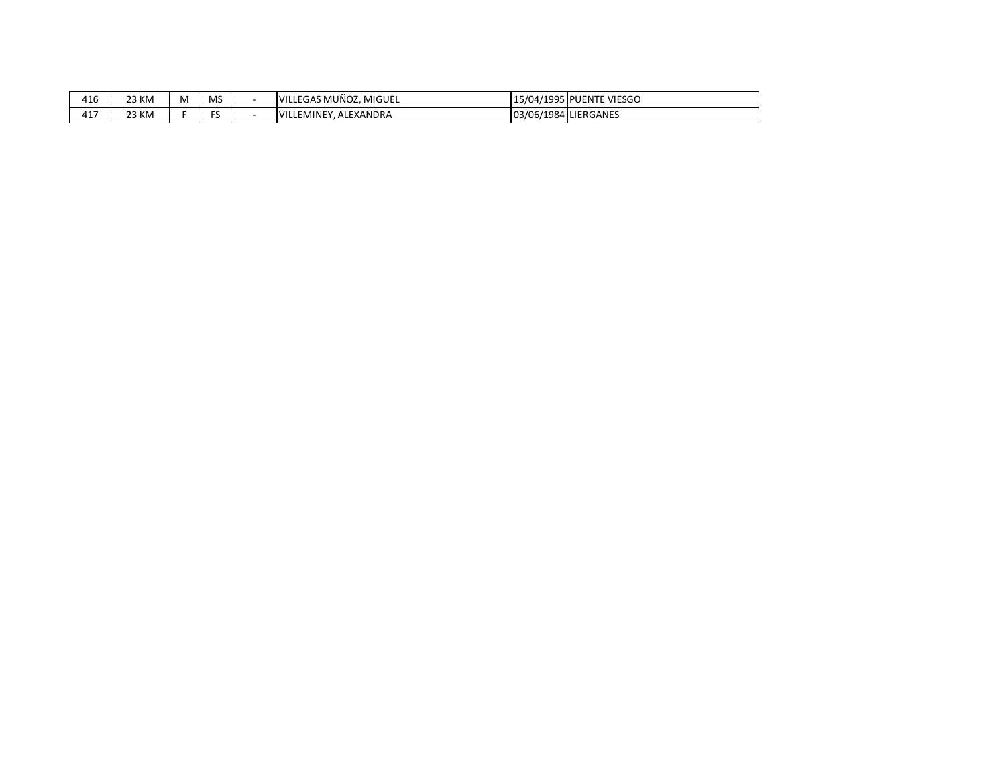| 416          | 23 KM | M | <b>MS</b> | IVILLEGAS MUÑOZ, MIGUEL   |                      | 15/04/1995 PUENTE VIESGO |
|--------------|-------|---|-----------|---------------------------|----------------------|--------------------------|
| $4 -$<br>41. | 23 KM |   | $-$<br>٠  | . ALEXANDRA<br>VILLEMINEY | 03/06/1984 LIERGANES |                          |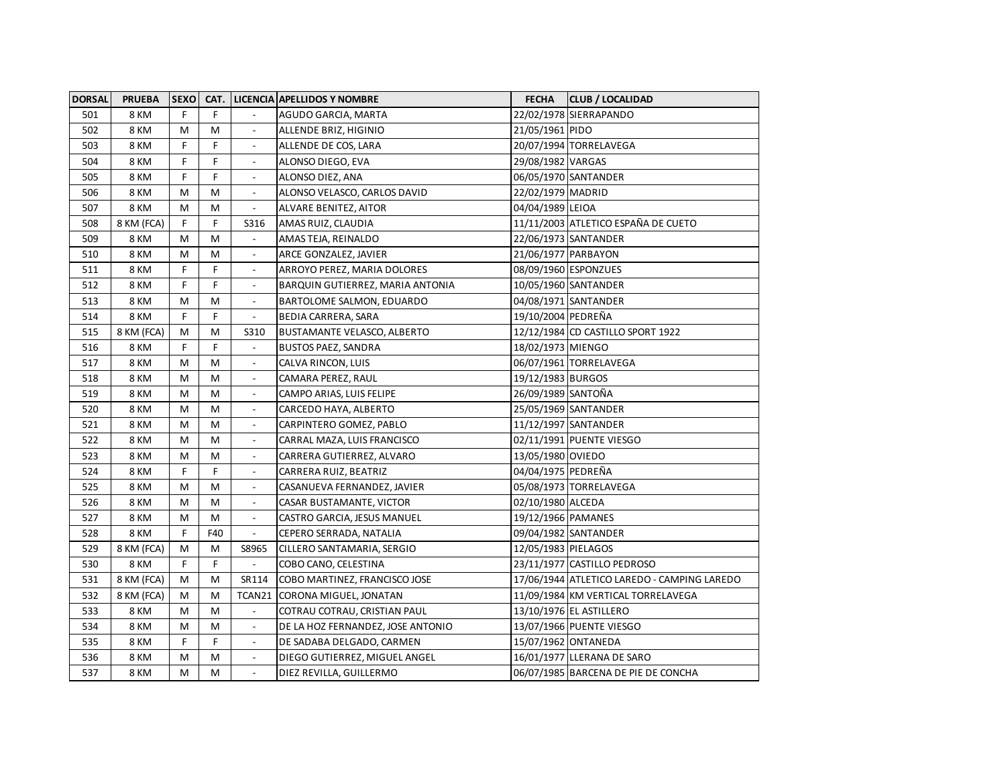| <b>DORSAL</b> | <b>PRUEBA</b> |   |     |                              | SEXO CAT. LICENCIA APELLIDOS Y NOMBRE | <b>FECHA</b>        | <b>CLUB / LOCALIDAD</b>                     |
|---------------|---------------|---|-----|------------------------------|---------------------------------------|---------------------|---------------------------------------------|
| 501           | 8 KM          | F | F.  |                              | AGUDO GARCIA, MARTA                   |                     | 22/02/1978 SIERRAPANDO                      |
| 502           | <b>8 KM</b>   | M | м   |                              | ALLENDE BRIZ, HIGINIO                 | 21/05/1961 PIDO     |                                             |
| 503           | 8 KM          | F | F   |                              | ALLENDE DE COS, LARA                  |                     | 20/07/1994 TORRELAVEGA                      |
| 504           | 8 KM          | F | F   |                              | ALONSO DIEGO, EVA                     | 29/08/1982 VARGAS   |                                             |
| 505           | 8 KM          | F | F   |                              | ALONSO DIEZ, ANA                      |                     | 06/05/1970 SANTANDER                        |
| 506           | 8 KM          | М | M   |                              | ALONSO VELASCO, CARLOS DAVID          | 22/02/1979 MADRID   |                                             |
| 507           | <b>8 KM</b>   | M | M   |                              | ALVARE BENITEZ, AITOR                 | 04/04/1989 LEIOA    |                                             |
| 508           | 8 KM (FCA)    | F | F   | S316                         | AMAS RUIZ, CLAUDIA                    |                     | 11/11/2003 ATLETICO ESPAÑA DE CUETO         |
| 509           | 8 KM          | M | M   | $\frac{1}{2}$                | AMAS TEJA, REINALDO                   |                     | 22/06/1973 SANTANDER                        |
| 510           | <b>8 KM</b>   | M | M   | $\mathbb{L}$                 | ARCE GONZALEZ, JAVIER                 | 21/06/1977 PARBAYON |                                             |
| 511           | 8 KM          | F | F   | $\mathbb{L}$                 | ARROYO PEREZ, MARIA DOLORES           |                     | 08/09/1960 ESPONZUES                        |
| 512           | <b>8 KM</b>   | F | F   | $\overline{\phantom{0}}$     | BARQUIN GUTIERREZ, MARIA ANTONIA      |                     | 10/05/1960 SANTANDER                        |
| 513           | 8 KM          | М | M   | $\overline{\phantom{a}}$     | BARTOLOME SALMON, EDUARDO             |                     | 04/08/1971 SANTANDER                        |
| 514           | 8 KM          | F | F.  | $\overline{\phantom{a}}$     | BEDIA CARRERA, SARA                   | 19/10/2004 PEDREÑA  |                                             |
| 515           | 8 KM (FCA)    | М | M   | S310                         | <b>BUSTAMANTE VELASCO, ALBERTO</b>    |                     | 12/12/1984 CD CASTILLO SPORT 1922           |
| 516           | 8 KM          | F | F   | $\overline{\phantom{a}}$     | <b>BUSTOS PAEZ, SANDRA</b>            | 18/02/1973 MIENGO   |                                             |
| 517           | 8 KM          | M | м   | $\overline{\phantom{a}}$     | CALVA RINCON, LUIS                    |                     | 06/07/1961 TORRELAVEGA                      |
| 518           | <b>8 KM</b>   | M | M   | $\overline{\phantom{a}}$     | CAMARA PEREZ, RAUL                    | 19/12/1983 BURGOS   |                                             |
| 519           | <b>8 KM</b>   | M | M   | $\overline{\phantom{a}}$     | CAMPO ARIAS, LUIS FELIPE              | 26/09/1989 SANTOÑA  |                                             |
| 520           | 8 KM          | M | м   | $\blacksquare$               | CARCEDO HAYA, ALBERTO                 |                     | 25/05/1969 SANTANDER                        |
| 521           | 8 KM          | M | м   | $\qquad \qquad \blacksquare$ | CARPINTERO GOMEZ, PABLO               |                     | 11/12/1997 SANTANDER                        |
| 522           | 8 KM          | M | M   | $\blacksquare$               | CARRAL MAZA, LUIS FRANCISCO           |                     | 02/11/1991 PUENTE VIESGO                    |
| 523           | <b>8 KM</b>   | M | М   |                              | CARRERA GUTIERREZ, ALVARO             | 13/05/1980 OVIEDO   |                                             |
| 524           | 8 KM          | F | F   |                              | CARRERA RUIZ, BEATRIZ                 | 04/04/1975 PEDREÑA  |                                             |
| 525           | 8 KM          | M | M   |                              | CASANUEVA FERNANDEZ, JAVIER           |                     | 05/08/1973 TORRELAVEGA                      |
| 526           | 8 KM          | М | M   |                              | CASAR BUSTAMANTE, VICTOR              | 02/10/1980 ALCEDA   |                                             |
| 527           | 8 KM          | M | M   |                              | CASTRO GARCIA, JESUS MANUEL           | 19/12/1966 PAMANES  |                                             |
| 528           | <b>8 KM</b>   | F | F40 | $\overline{\phantom{a}}$     | CEPERO SERRADA, NATALIA               |                     | 09/04/1982 SANTANDER                        |
| 529           | 8 KM (FCA)    | M | м   | S8965                        | CILLERO SANTAMARIA, SERGIO            | 12/05/1983 PIELAGOS |                                             |
| 530           | <b>8 KM</b>   | F | F   | $\overline{a}$               | COBO CANO, CELESTINA                  |                     | 23/11/1977 CASTILLO PEDROSO                 |
| 531           | 8 KM (FCA)    | М | M   | SR114                        | COBO MARTINEZ, FRANCISCO JOSE         |                     | 17/06/1944 ATLETICO LAREDO - CAMPING LAREDO |
| 532           | 8 KM (FCA)    | M | M   | TCAN21                       | CORONA MIGUEL, JONATAN                |                     | 11/09/1984 KM VERTICAL TORRELAVEGA          |
| 533           | 8 KM          | M | M   | $\blacksquare$               | COTRAU COTRAU, CRISTIAN PAUL          |                     | 13/10/1976 EL ASTILLERO                     |
| 534           | 8 KM          | M | м   |                              | DE LA HOZ FERNANDEZ, JOSE ANTONIO     |                     | 13/07/1966 PUENTE VIESGO                    |
| 535           | 8 KM          | F | F   |                              | DE SADABA DELGADO, CARMEN             | 15/07/1962 ONTANEDA |                                             |
| 536           | 8 KM          | М | M   |                              | DIEGO GUTIERREZ, MIGUEL ANGEL         |                     | 16/01/1977 LLERANA DE SARO                  |
| 537           | 8 KM          | M | M   |                              | DIEZ REVILLA, GUILLERMO               |                     | 06/07/1985 BARCENA DE PIE DE CONCHA         |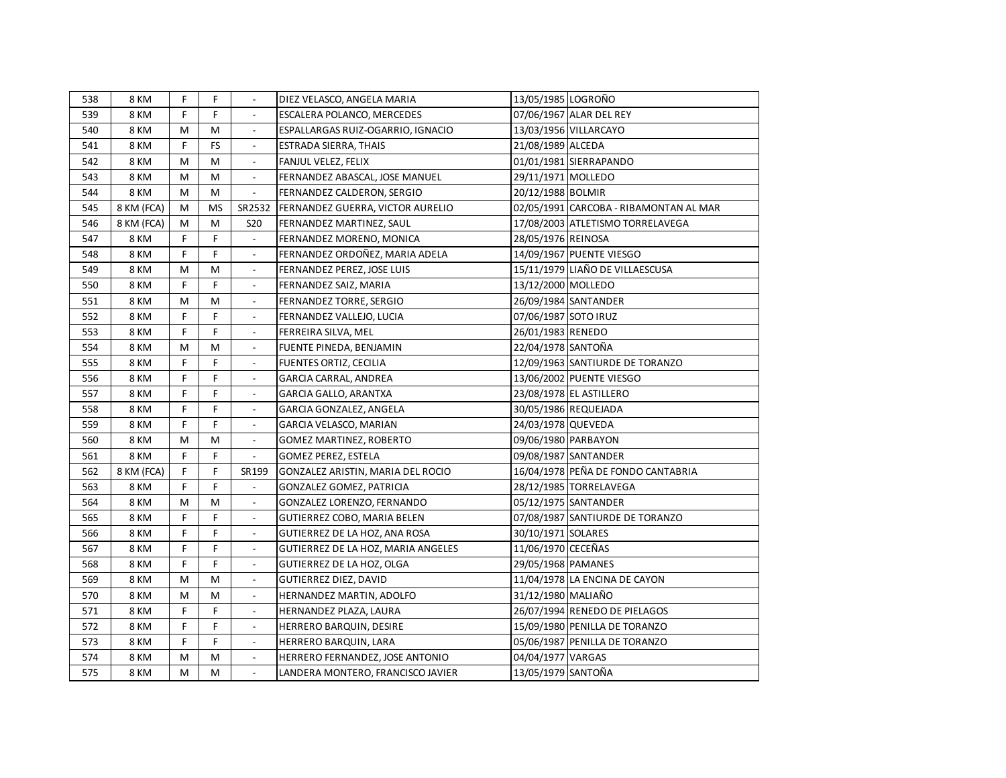| 538 | 8 KM        | F. | F.        |                          | DIEZ VELASCO, ANGELA MARIA              | 13/05/1985 LOGROÑO   |                                        |
|-----|-------------|----|-----------|--------------------------|-----------------------------------------|----------------------|----------------------------------------|
| 539 | 8 KM        | F  | F.        |                          | ESCALERA POLANCO, MERCEDES              |                      | 07/06/1967 ALAR DEL REY                |
| 540 | <b>8 KM</b> | M  | М         | $\blacksquare$           | ESPALLARGAS RUIZ-OGARRIO, IGNACIO       |                      | 13/03/1956 VILLARCAYO                  |
| 541 | <b>8 KM</b> | F  | <b>FS</b> | $\overline{\phantom{a}}$ | ESTRADA SIERRA, THAIS                   | 21/08/1989 ALCEDA    |                                        |
| 542 | <b>8 KM</b> | M  | M         | $\overline{\phantom{a}}$ | FANJUL VELEZ, FELIX                     |                      | 01/01/1981 SIERRAPANDO                 |
| 543 | <b>8 KM</b> | M  | M         | $\mathbb{L}$             | FERNANDEZ ABASCAL, JOSE MANUEL          | 29/11/1971 MOLLEDO   |                                        |
| 544 | <b>8 KM</b> | M  | M         | $\frac{1}{2}$            | FERNANDEZ CALDERON, SERGIO              | 20/12/1988 BOLMIR    |                                        |
| 545 | 8 KM (FCA)  | M  | MS        | SR2532                   | <b>FERNANDEZ GUERRA, VICTOR AURELIO</b> |                      | 02/05/1991 CARCOBA - RIBAMONTAN AL MAR |
| 546 | 8 KM (FCA)  | М  | M         | <b>S20</b>               | FERNANDEZ MARTINEZ, SAUL                |                      | 17/08/2003 ATLETISMO TORRELAVEGA       |
| 547 | 8 KM        | F  | F         |                          | FERNANDEZ MORENO, MONICA                | 28/05/1976 REINOSA   |                                        |
| 548 | <b>8 KM</b> | F  | F         |                          | FERNANDEZ ORDOÑEZ, MARIA ADELA          |                      | 14/09/1967 PUENTE VIESGO               |
| 549 | <b>8 KM</b> | M  | M         |                          | FERNANDEZ PEREZ, JOSE LUIS              |                      | 15/11/1979 LIAÑO DE VILLAESCUSA        |
| 550 | 8 KM        | F  | F.        | $\overline{\phantom{a}}$ | FERNANDEZ SAIZ, MARIA                   | 13/12/2000 MOLLEDO   |                                        |
| 551 | 8 KM        | M  | M         | $\overline{\phantom{a}}$ | FERNANDEZ TORRE, SERGIO                 |                      | 26/09/1984 SANTANDER                   |
| 552 | 8 KM        | F  | F         | $\frac{1}{2}$            | FERNANDEZ VALLEJO, LUCIA                | 07/06/1987 SOTO IRUZ |                                        |
| 553 | 8 KM        | F  | F         | $\frac{1}{2}$            | FERREIRA SILVA, MEL                     | 26/01/1983 RENEDO    |                                        |
| 554 | 8 KM        | M  | М         | $\overline{\phantom{a}}$ | FUENTE PINEDA, BENJAMIN                 | 22/04/1978 SANTOÑA   |                                        |
| 555 | 8 KM        | F  | F         | $\overline{\phantom{a}}$ | FUENTES ORTIZ, CECILIA                  |                      | 12/09/1963 SANTIURDE DE TORANZO        |
| 556 | 8 KM        | F  | F         | $\overline{\phantom{a}}$ | <b>GARCIA CARRAL, ANDREA</b>            |                      | 13/06/2002 PUENTE VIESGO               |
| 557 | 8 KM        | F  | F         | $\overline{\phantom{a}}$ | <b>GARCIA GALLO, ARANTXA</b>            |                      | 23/08/1978 EL ASTILLERO                |
| 558 | <b>8 KM</b> | F  | F         | $\overline{\phantom{a}}$ | GARCIA GONZALEZ, ANGELA                 |                      | 30/05/1986 REQUEJADA                   |
| 559 | <b>8 KM</b> | F  | F         | $\overline{\phantom{a}}$ | GARCIA VELASCO, MARIAN                  | 24/03/1978 QUEVEDA   |                                        |
| 560 | <b>8 KM</b> | M  | М         | $\overline{\phantom{a}}$ | GOMEZ MARTINEZ, ROBERTO                 |                      | 09/06/1980 PARBAYON                    |
| 561 | <b>8 KM</b> | F  | F         | $\overline{\phantom{a}}$ | <b>GOMEZ PEREZ, ESTELA</b>              |                      | 09/08/1987 SANTANDER                   |
| 562 | 8 KM (FCA)  | F  | F         | SR199                    | GONZALEZ ARISTIN, MARIA DEL ROCIO       |                      | 16/04/1978 PEÑA DE FONDO CANTABRIA     |
| 563 | 8 KM        | F  | F.        | $\blacksquare$           | GONZALEZ GOMEZ, PATRICIA                |                      | 28/12/1985 TORRELAVEGA                 |
| 564 | 8 KM        | M  | M         | $\blacksquare$           | GONZALEZ LORENZO, FERNANDO              |                      | 05/12/1975 SANTANDER                   |
| 565 | 8 KM        | F  | F         |                          | GUTIERREZ COBO, MARIA BELEN             |                      | 07/08/1987 SANTIURDE DE TORANZO        |
| 566 | 8 KM        | F  | F.        | $\overline{\phantom{a}}$ | GUTIERREZ DE LA HOZ, ANA ROSA           | 30/10/1971 SOLARES   |                                        |
| 567 | 8 KM        | F  | F         |                          | GUTIERREZ DE LA HOZ, MARIA ANGELES      | 11/06/1970 CECEÑAS   |                                        |
| 568 | 8 KM        | F  | F         | $\overline{\phantom{a}}$ | GUTIERREZ DE LA HOZ, OLGA               | 29/05/1968 PAMANES   |                                        |
| 569 | 8 KM        | M  | M         |                          | GUTIERREZ DIEZ, DAVID                   |                      | 11/04/1978 LA ENCINA DE CAYON          |
| 570 | 8 KM        | M  | М         |                          | HERNANDEZ MARTIN, ADOLFO                | 31/12/1980 MALIAÑO   |                                        |
| 571 | <b>8 KM</b> | F  | F         | $\overline{\phantom{a}}$ | HERNANDEZ PLAZA, LAURA                  |                      | 26/07/1994 RENEDO DE PIELAGOS          |
| 572 | <b>8 KM</b> | F  | F         |                          | HERRERO BARQUIN, DESIRE                 |                      | 15/09/1980 PENILLA DE TORANZO          |
| 573 | <b>8 KM</b> | F  | F         |                          | HERRERO BARQUIN, LARA                   |                      | 05/06/1987 PENILLA DE TORANZO          |
| 574 | 8 KM        | M  | М         | $\overline{\phantom{a}}$ | HERRERO FERNANDEZ, JOSE ANTONIO         | 04/04/1977 VARGAS    |                                        |
| 575 | 8 KM        | M  | M         | $\overline{\phantom{a}}$ | LANDERA MONTERO, FRANCISCO JAVIER       | 13/05/1979 SANTOÑA   |                                        |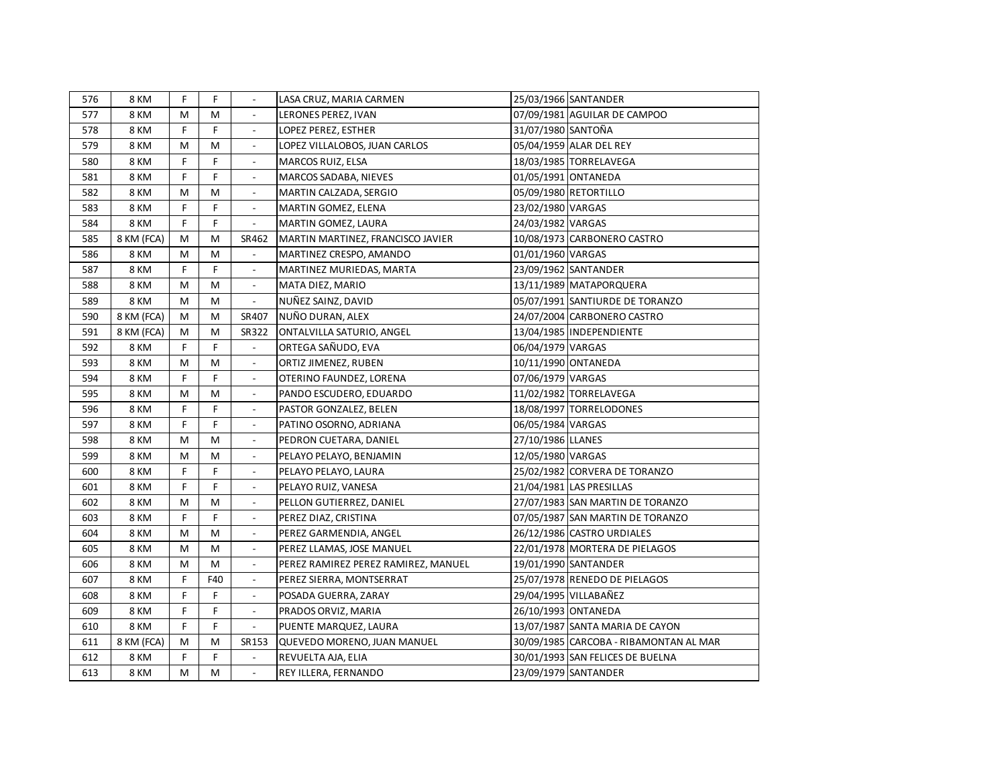| 576 | 8 KM        | F | F.  |                          | LASA CRUZ, MARIA CARMEN             |                    | 25/03/1966 SANTANDER                   |
|-----|-------------|---|-----|--------------------------|-------------------------------------|--------------------|----------------------------------------|
| 577 | <b>8 KM</b> | M | м   |                          | LERONES PEREZ, IVAN                 |                    | 07/09/1981 AGUILAR DE CAMPOO           |
| 578 | <b>8 KM</b> | F | F.  |                          | LOPEZ PEREZ, ESTHER                 | 31/07/1980 SANTOÑA |                                        |
| 579 | <b>8 KM</b> | М | M   | $\overline{\phantom{a}}$ | LOPEZ VILLALOBOS, JUAN CARLOS       |                    | 05/04/1959 ALAR DEL REY                |
| 580 | 8 KM        | F | F.  | $\blacksquare$           | MARCOS RUIZ, ELSA                   |                    | 18/03/1985 TORRELAVEGA                 |
| 581 | <b>8 KM</b> | F | F.  |                          | MARCOS SADABA, NIEVES               |                    | 01/05/1991 ONTANEDA                    |
| 582 | <b>8 KM</b> | M | M   | $\blacksquare$           | MARTIN CALZADA, SERGIO              |                    | 05/09/1980 RETORTILLO                  |
| 583 | 8 KM        | F | F   | $\overline{\phantom{a}}$ | MARTIN GOMEZ, ELENA                 | 23/02/1980 VARGAS  |                                        |
| 584 | <b>8 KM</b> | F | F   | $\blacksquare$           | MARTIN GOMEZ, LAURA                 | 24/03/1982 VARGAS  |                                        |
| 585 | 8 KM (FCA)  | М | M   | SR462                    | MARTIN MARTINEZ, FRANCISCO JAVIER   |                    | 10/08/1973 CARBONERO CASTRO            |
| 586 | <b>8 KM</b> | M | M   | $\mathbb{L}$             | MARTINEZ CRESPO, AMANDO             | 01/01/1960 VARGAS  |                                        |
| 587 | <b>8 KM</b> | F | F.  | $\overline{\phantom{a}}$ | MARTINEZ MURIEDAS, MARTA            |                    | 23/09/1962 SANTANDER                   |
| 588 | <b>8 KM</b> | М | M   | $\overline{\phantom{a}}$ | MATA DIEZ, MARIO                    |                    | 13/11/1989 MATAPORQUERA                |
| 589 | <b>8 KM</b> | M | M   | $\overline{\phantom{a}}$ | NUÑEZ SAINZ, DAVID                  |                    | 05/07/1991 SANTIURDE DE TORANZO        |
| 590 | 8 KM (FCA)  | M | M   | SR407                    | NUÑO DURAN, ALEX                    |                    | 24/07/2004 CARBONERO CASTRO            |
| 591 | 8 KM (FCA)  | М | M   | SR322                    | ONTALVILLA SATURIO, ANGEL           |                    | 13/04/1985 INDEPENDIENTE               |
| 592 | <b>8 KM</b> | F | F   | $\overline{\phantom{a}}$ | ORTEGA SAÑUDO, EVA                  | 06/04/1979 VARGAS  |                                        |
| 593 | <b>8 KM</b> | M | M   | $\overline{\phantom{a}}$ | ORTIZ JIMENEZ, RUBEN                |                    | 10/11/1990 ONTANEDA                    |
| 594 | <b>8 KM</b> | F | F.  | $\overline{\phantom{a}}$ | OTERINO FAUNDEZ, LORENA             | 07/06/1979 VARGAS  |                                        |
| 595 | <b>8 KM</b> | M | M   | $\overline{\phantom{a}}$ | PANDO ESCUDERO, EDUARDO             |                    | 11/02/1982 TORRELAVEGA                 |
| 596 | <b>8 KM</b> | F | F   | $\overline{\phantom{a}}$ | PASTOR GONZALEZ, BELEN              |                    | 18/08/1997 TORRELODONES                |
| 597 | <b>8 KM</b> | F | F.  | $\overline{\phantom{a}}$ | PATINO OSORNO, ADRIANA              | 06/05/1984 VARGAS  |                                        |
| 598 | <b>8 KM</b> | M | M   | $\blacksquare$           | PEDRON CUETARA, DANIEL              | 27/10/1986 LLANES  |                                        |
| 599 | <b>8 KM</b> | M | M   | $\blacksquare$           | PELAYO PELAYO, BENJAMIN             | 12/05/1980 VARGAS  |                                        |
| 600 | <b>8 KM</b> | F | F   | $\blacksquare$           | PELAYO PELAYO, LAURA                |                    | 25/02/1982 CORVERA DE TORANZO          |
| 601 | 8 KM        | F | F.  | $\blacksquare$           | PELAYO RUIZ, VANESA                 |                    | 21/04/1981 LAS PRESILLAS               |
| 602 | 8 KM        | М | M   | $\blacksquare$           | PELLON GUTIERREZ, DANIEL            |                    | 27/07/1983 SAN MARTIN DE TORANZO       |
| 603 | 8 KM        | F | F.  | $\blacksquare$           | PEREZ DIAZ, CRISTINA                |                    | 07/05/1987 SAN MARTIN DE TORANZO       |
| 604 | 8 KM        | М | м   | $\overline{\phantom{a}}$ | PEREZ GARMENDIA, ANGEL              |                    | 26/12/1986 CASTRO URDIALES             |
| 605 | 8 KM        | М | M   |                          | PEREZ LLAMAS, JOSE MANUEL           |                    | 22/01/1978 MORTERA DE PIELAGOS         |
| 606 | 8 KM        | M | M   | $\overline{\phantom{a}}$ | PEREZ RAMIREZ PEREZ RAMIREZ, MANUEL |                    | 19/01/1990 SANTANDER                   |
| 607 | 8 KM        | F | F40 | $\overline{\phantom{a}}$ | PEREZ SIERRA, MONTSERRAT            |                    | 25/07/1978 RENEDO DE PIELAGOS          |
| 608 | 8 KM        | F | F.  | $\overline{\phantom{a}}$ | POSADA GUERRA, ZARAY                |                    | 29/04/1995 VILLABAÑEZ                  |
| 609 | 8 KM        | F | F.  | $\overline{\phantom{a}}$ | PRADOS ORVIZ, MARIA                 |                    | 26/10/1993 ONTANEDA                    |
| 610 | 8 KM        | F | F.  | $\blacksquare$           | PUENTE MARQUEZ, LAURA               |                    | 13/07/1987 SANTA MARIA DE CAYON        |
| 611 | 8 KM (FCA)  | М | M   | SR153                    | QUEVEDO MORENO, JUAN MANUEL         |                    | 30/09/1985 CARCOBA - RIBAMONTAN AL MAR |
| 612 | 8 KM        | F | F.  | $\blacksquare$           | REVUELTA AJA, ELIA                  |                    | 30/01/1993 SAN FELICES DE BUELNA       |
| 613 | 8 KM        | M | M   | $\overline{\phantom{a}}$ | REY ILLERA, FERNANDO                |                    | 23/09/1979 SANTANDER                   |